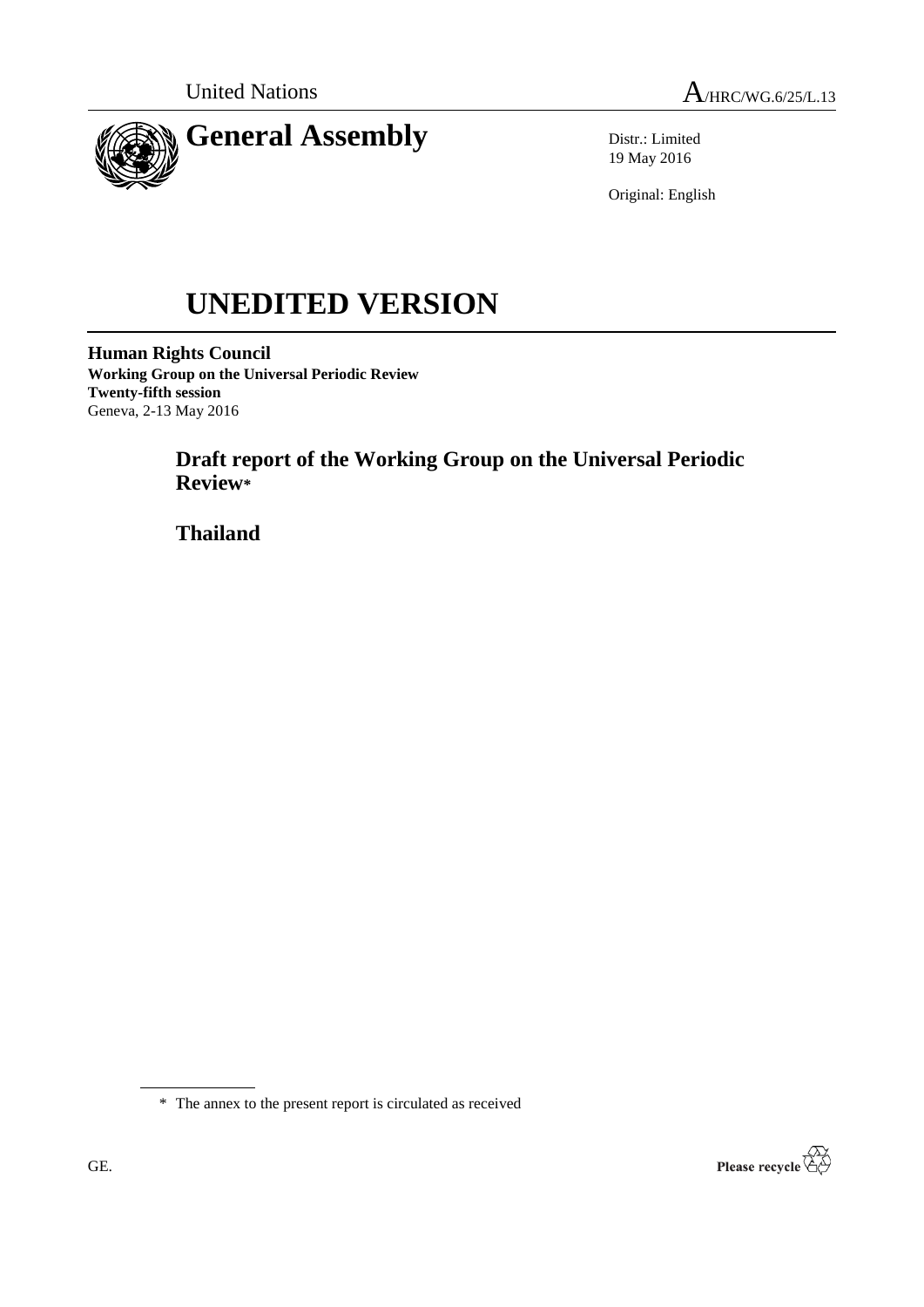



Distr.: Limited 19 May 2016

Original: English

# **UNEDITED VERSION**

**Human Rights Council Working Group on the Universal Periodic Review Twenty-fifth session** Geneva, 2-13 May 2016

> **Draft report of the Working Group on the Universal Periodic Review\***

**Thailand**

\* The annex to the present report is circulated as received

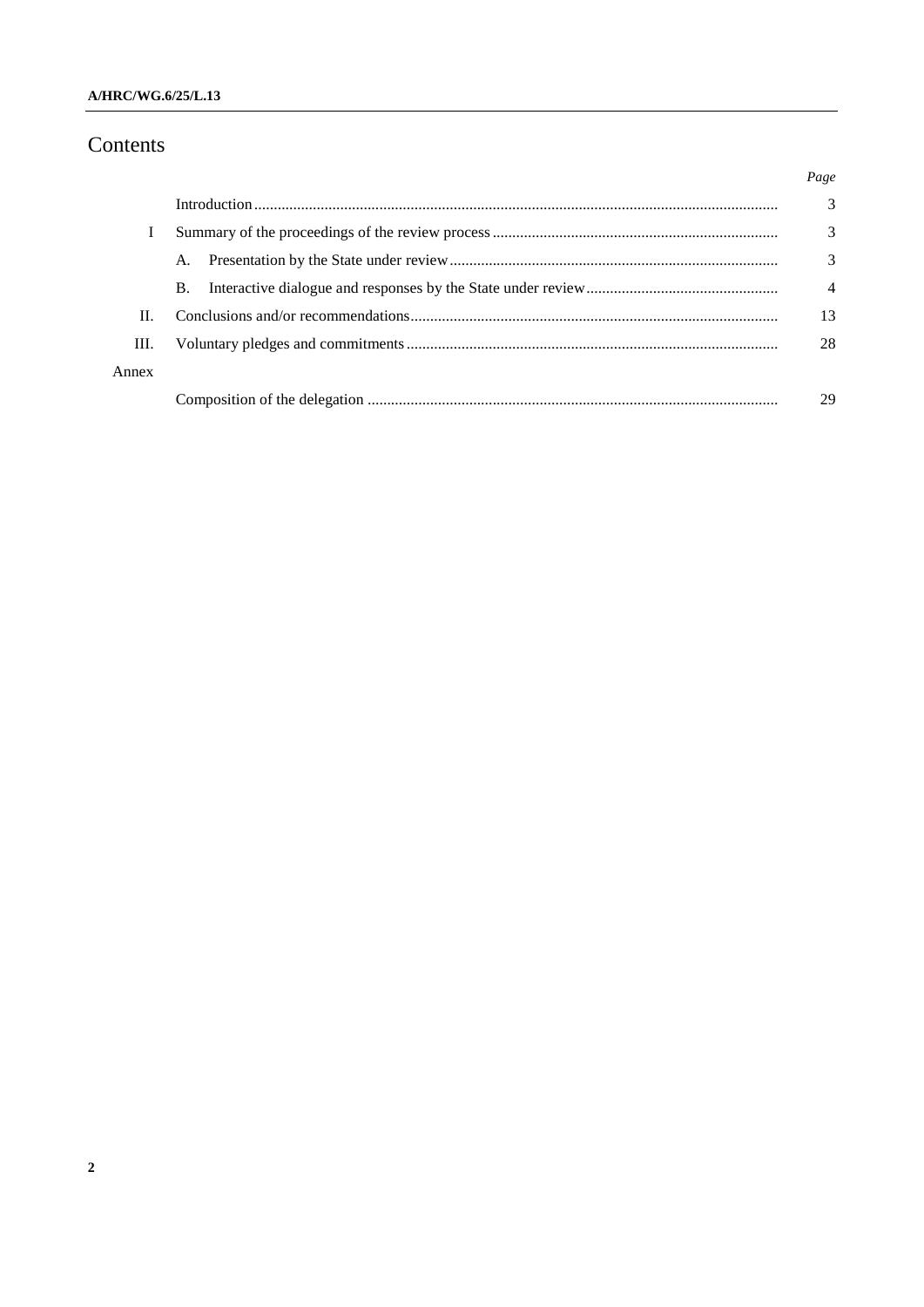# Contents

|       |    | Page           |
|-------|----|----------------|
|       |    | 3              |
|       |    | 3              |
|       | A. | 3              |
|       | В. | $\overline{4}$ |
| П.    |    | 13             |
| Ш.    |    | 28             |
| Annex |    |                |
|       |    | 29             |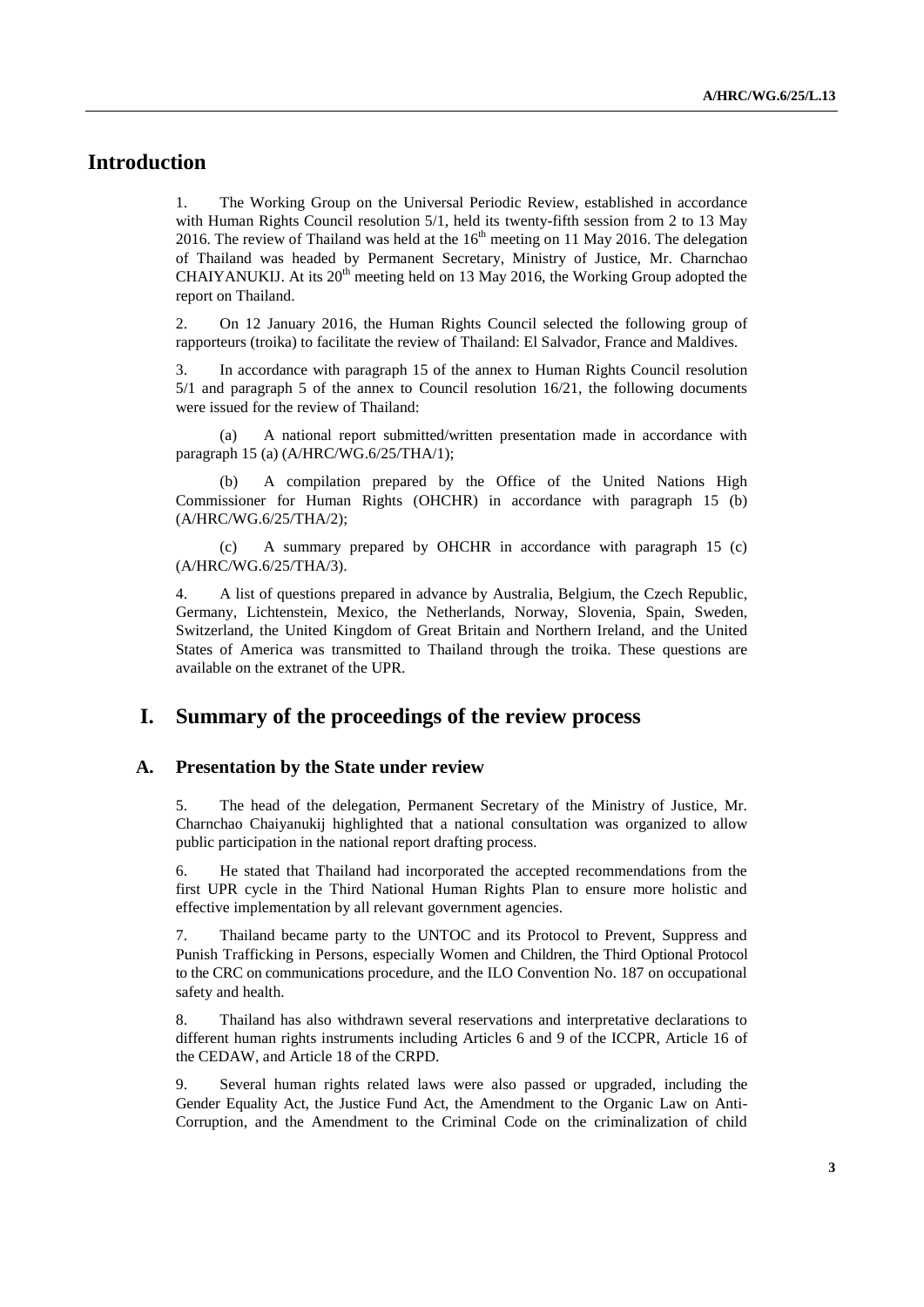# **Introduction**

1. The Working Group on the Universal Periodic Review, established in accordance with Human Rights Council resolution 5/1, held its twenty-fifth session from 2 to 13 May 2016. The review of Thailand was held at the  $16<sup>th</sup>$  meeting on 11 May 2016. The delegation of Thailand was headed by Permanent Secretary, Ministry of Justice, Mr. Charnchao CHAIYANUKIJ. At its  $20<sup>th</sup>$  meeting held on 13 May 2016, the Working Group adopted the report on Thailand.

2. On 12 January 2016, the Human Rights Council selected the following group of rapporteurs (troika) to facilitate the review of Thailand: El Salvador, France and Maldives.

3. In accordance with paragraph 15 of the annex to Human Rights Council resolution 5/1 and paragraph 5 of the annex to Council resolution 16/21, the following documents were issued for the review of Thailand:

(a) A national report submitted/written presentation made in accordance with paragraph 15 (a) (A/HRC/WG.6/25/THA/1);

(b) A compilation prepared by the Office of the United Nations High Commissioner for Human Rights (OHCHR) in accordance with paragraph 15 (b) (A/HRC/WG.6/25/THA/2);

(c) A summary prepared by OHCHR in accordance with paragraph 15 (c) (A/HRC/WG.6/25/THA/3).

4. A list of questions prepared in advance by Australia, Belgium, the Czech Republic, Germany, Lichtenstein, Mexico, the Netherlands, Norway, Slovenia, Spain, Sweden, Switzerland, the United Kingdom of Great Britain and Northern Ireland, and the United States of America was transmitted to Thailand through the troika. These questions are available on the extranet of the UPR.

## **I. Summary of the proceedings of the review process**

#### **A. Presentation by the State under review**

5. The head of the delegation, Permanent Secretary of the Ministry of Justice, Mr. Charnchao Chaiyanukij highlighted that a national consultation was organized to allow public participation in the national report drafting process.

6. He stated that Thailand had incorporated the accepted recommendations from the first UPR cycle in the Third National Human Rights Plan to ensure more holistic and effective implementation by all relevant government agencies.

7. Thailand became party to the UNTOC and its Protocol to Prevent, Suppress and Punish Trafficking in Persons, especially Women and Children, the Third Optional Protocol to the CRC on communications procedure, and the ILO Convention No. 187 on occupational safety and health.

8. Thailand has also withdrawn several reservations and interpretative declarations to different human rights instruments including Articles 6 and 9 of the ICCPR, Article 16 of the CEDAW, and Article 18 of the CRPD.

9. Several human rights related laws were also passed or upgraded, including the Gender Equality Act, the Justice Fund Act, the Amendment to the Organic Law on Anti-Corruption, and the Amendment to the Criminal Code on the criminalization of child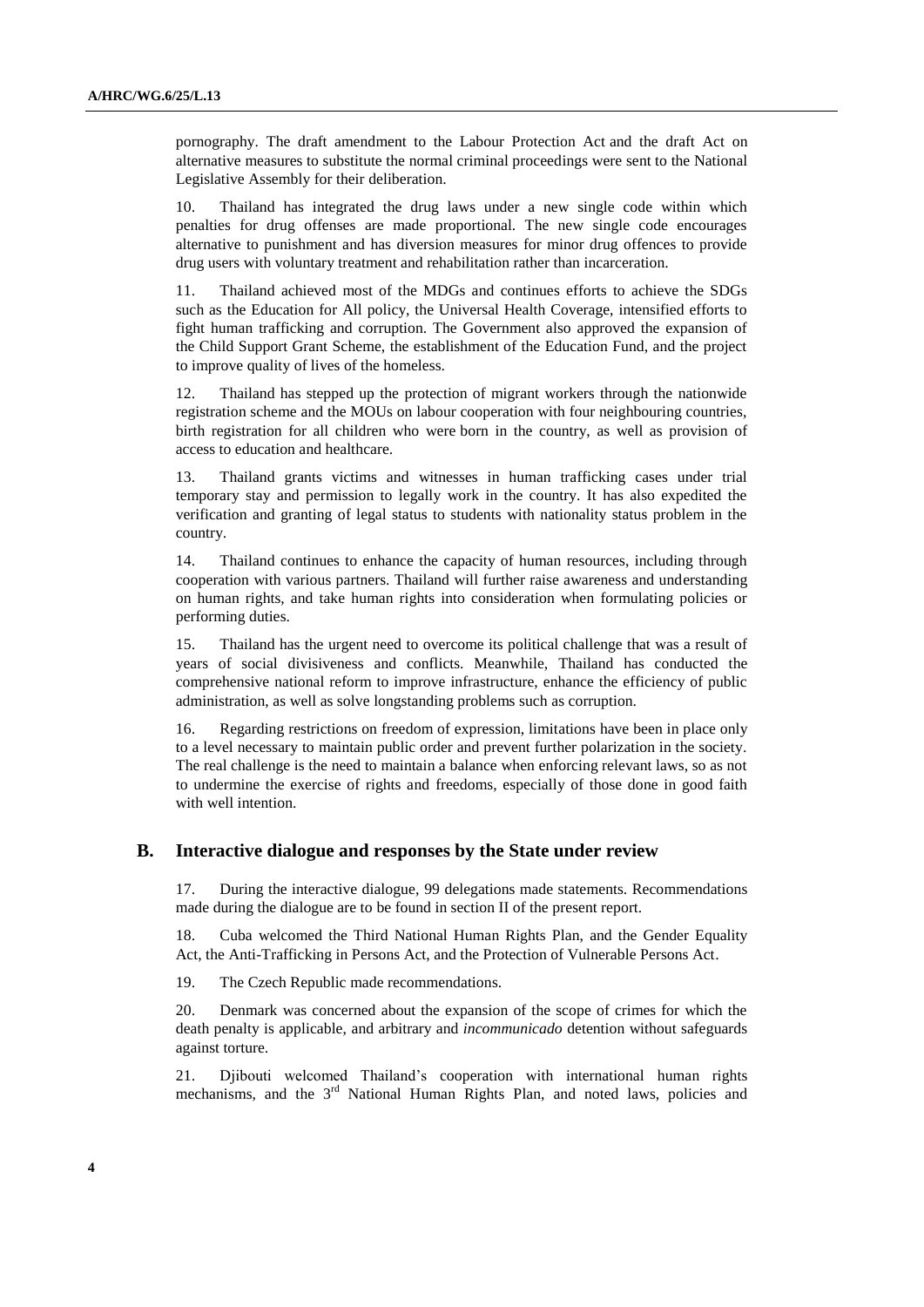pornography. The draft amendment to the Labour Protection Act and the draft Act on alternative measures to substitute the normal criminal proceedings were sent to the National Legislative Assembly for their deliberation.

10. Thailand has integrated the drug laws under a new single code within which penalties for drug offenses are made proportional. The new single code encourages alternative to punishment and has diversion measures for minor drug offences to provide drug users with voluntary treatment and rehabilitation rather than incarceration.

11. Thailand achieved most of the MDGs and continues efforts to achieve the SDGs such as the Education for All policy, the Universal Health Coverage, intensified efforts to fight human trafficking and corruption. The Government also approved the expansion of the Child Support Grant Scheme, the establishment of the Education Fund, and the project to improve quality of lives of the homeless.

12. Thailand has stepped up the protection of migrant workers through the nationwide registration scheme and the MOUs on labour cooperation with four neighbouring countries, birth registration for all children who were born in the country, as well as provision of access to education and healthcare.

13. Thailand grants victims and witnesses in human trafficking cases under trial temporary stay and permission to legally work in the country. It has also expedited the verification and granting of legal status to students with nationality status problem in the country.

14. Thailand continues to enhance the capacity of human resources, including through cooperation with various partners. Thailand will further raise awareness and understanding on human rights, and take human rights into consideration when formulating policies or performing duties.

15. Thailand has the urgent need to overcome its political challenge that was a result of years of social divisiveness and conflicts. Meanwhile, Thailand has conducted the comprehensive national reform to improve infrastructure, enhance the efficiency of public administration, as well as solve longstanding problems such as corruption.

16. Regarding restrictions on freedom of expression, limitations have been in place only to a level necessary to maintain public order and prevent further polarization in the society. The real challenge is the need to maintain a balance when enforcing relevant laws, so as not to undermine the exercise of rights and freedoms, especially of those done in good faith with well intention.

#### **B. Interactive dialogue and responses by the State under review**

17. During the interactive dialogue, 99 delegations made statements. Recommendations made during the dialogue are to be found in section II of the present report.

18. Cuba welcomed the Third National Human Rights Plan, and the Gender Equality Act, the Anti-Trafficking in Persons Act, and the Protection of Vulnerable Persons Act.

19. The Czech Republic made recommendations.

20. Denmark was concerned about the expansion of the scope of crimes for which the death penalty is applicable, and arbitrary and *incommunicado* detention without safeguards against torture.

21. Djibouti welcomed Thailand's cooperation with international human rights mechanisms, and the  $3<sup>rd</sup>$  National Human Rights Plan, and noted laws, policies and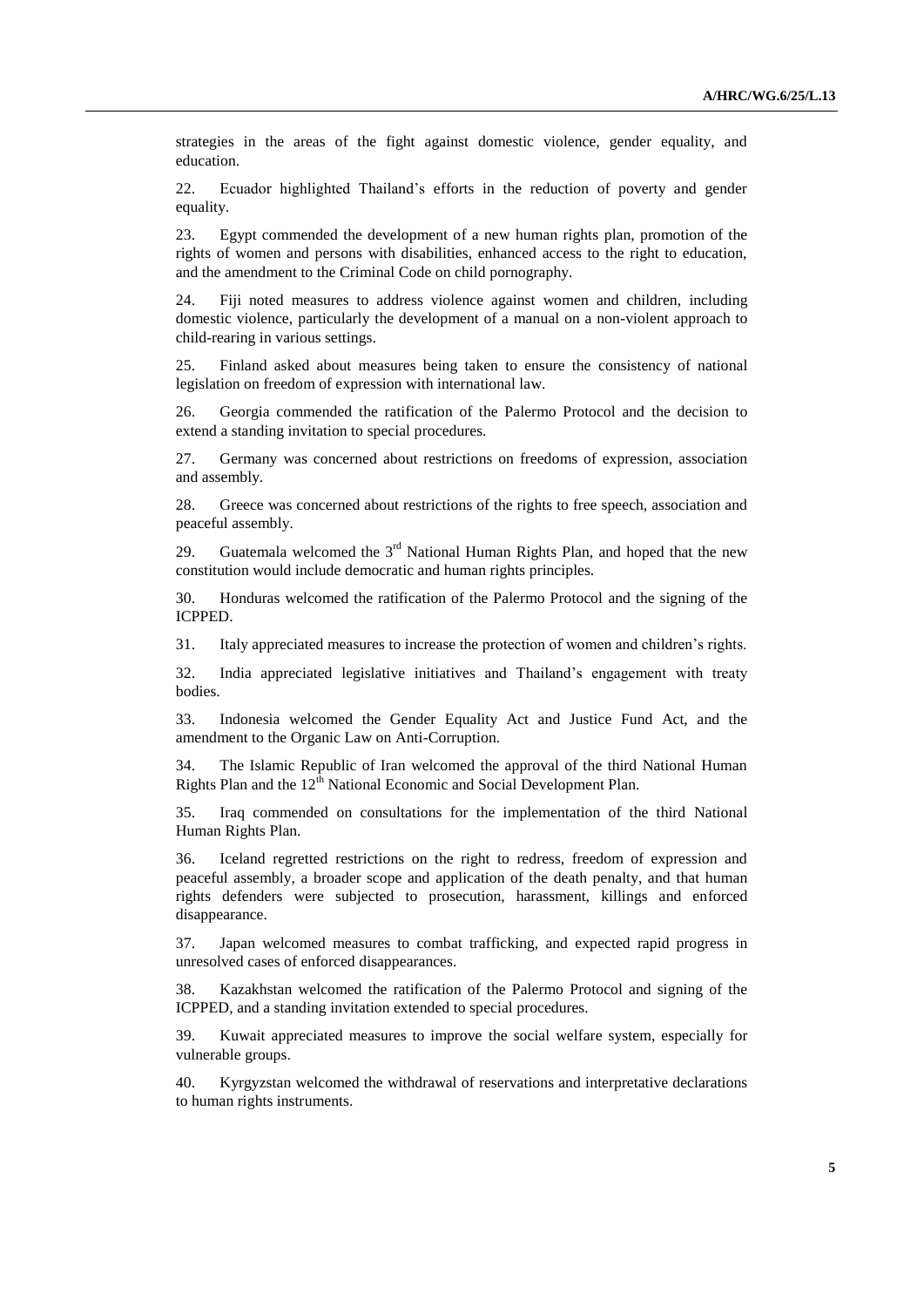strategies in the areas of the fight against domestic violence, gender equality, and education.

22. Ecuador highlighted Thailand's efforts in the reduction of poverty and gender equality.

23. Egypt commended the development of a new human rights plan, promotion of the rights of women and persons with disabilities, enhanced access to the right to education, and the amendment to the Criminal Code on child pornography.

24. Fiji noted measures to address violence against women and children, including domestic violence, particularly the development of a manual on a non-violent approach to child-rearing in various settings.

25. Finland asked about measures being taken to ensure the consistency of national legislation on freedom of expression with international law.

26. Georgia commended the ratification of the Palermo Protocol and the decision to extend a standing invitation to special procedures.

27. Germany was concerned about restrictions on freedoms of expression, association and assembly.

28. Greece was concerned about restrictions of the rights to free speech, association and peaceful assembly.

29. Guatemala welcomed the  $3<sup>rd</sup>$  National Human Rights Plan, and hoped that the new constitution would include democratic and human rights principles.

30. Honduras welcomed the ratification of the Palermo Protocol and the signing of the ICPPED.

31. Italy appreciated measures to increase the protection of women and children's rights.

32. India appreciated legislative initiatives and Thailand's engagement with treaty bodies.

33. Indonesia welcomed the Gender Equality Act and Justice Fund Act, and the amendment to the Organic Law on Anti-Corruption.

34. The Islamic Republic of Iran welcomed the approval of the third National Human Rights Plan and the 12<sup>th</sup> National Economic and Social Development Plan.

35. Iraq commended on consultations for the implementation of the third National Human Rights Plan.

36. Iceland regretted restrictions on the right to redress, freedom of expression and peaceful assembly, a broader scope and application of the death penalty, and that human rights defenders were subjected to prosecution, harassment, killings and enforced disappearance.

37. Japan welcomed measures to combat trafficking, and expected rapid progress in unresolved cases of enforced disappearances.

38. Kazakhstan welcomed the ratification of the Palermo Protocol and signing of the ICPPED, and a standing invitation extended to special procedures.

39. Kuwait appreciated measures to improve the social welfare system, especially for vulnerable groups.

40. Kyrgyzstan welcomed the withdrawal of reservations and interpretative declarations to human rights instruments.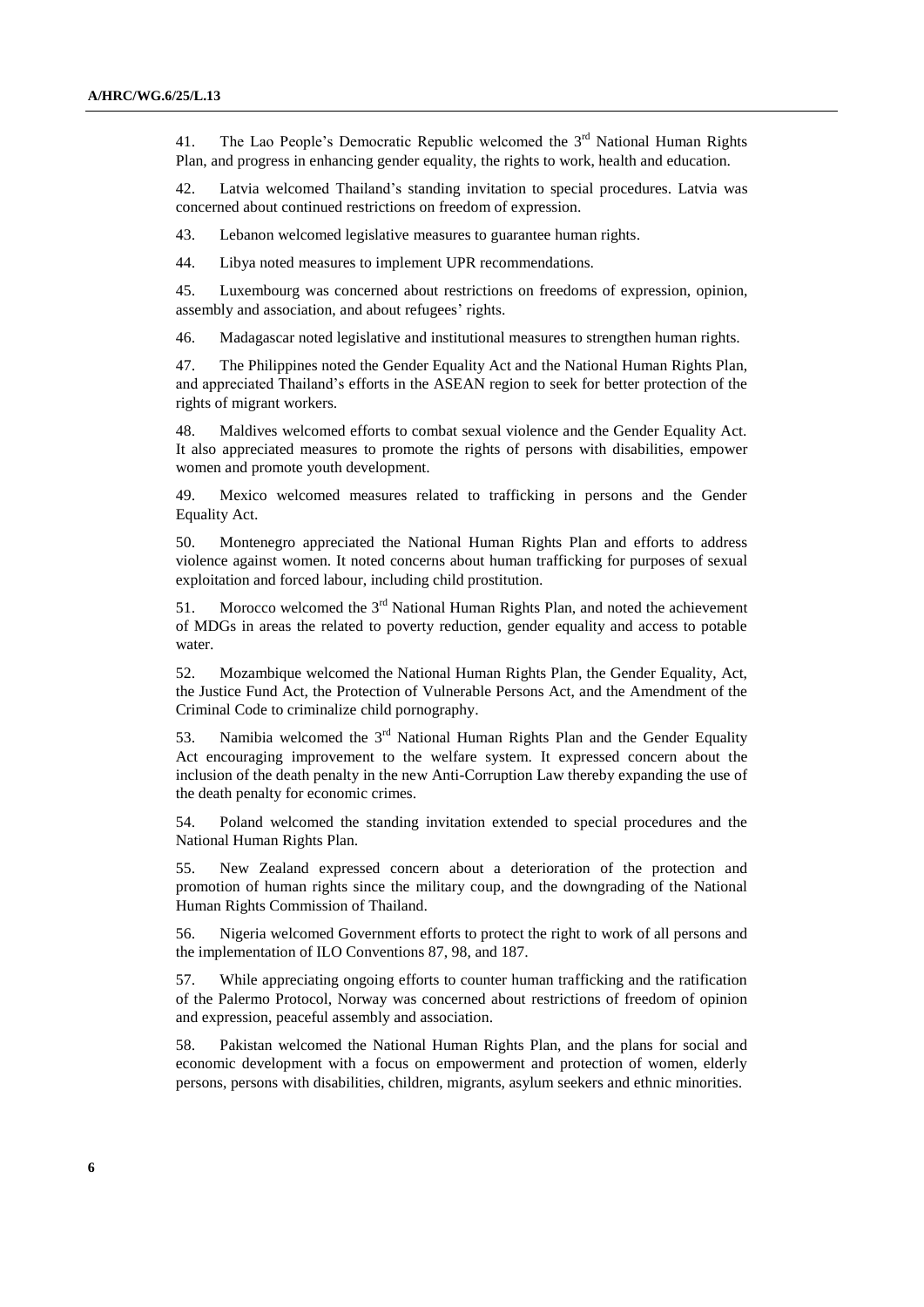41. The Lao People's Democratic Republic welcomed the  $3<sup>rd</sup>$  National Human Rights Plan, and progress in enhancing gender equality, the rights to work, health and education.

42. Latvia welcomed Thailand's standing invitation to special procedures. Latvia was concerned about continued restrictions on freedom of expression.

43. Lebanon welcomed legislative measures to guarantee human rights.

44. Libya noted measures to implement UPR recommendations.

45. Luxembourg was concerned about restrictions on freedoms of expression, opinion, assembly and association, and about refugees' rights.

46. Madagascar noted legislative and institutional measures to strengthen human rights.

47. The Philippines noted the Gender Equality Act and the National Human Rights Plan, and appreciated Thailand's efforts in the ASEAN region to seek for better protection of the rights of migrant workers.

48. Maldives welcomed efforts to combat sexual violence and the Gender Equality Act. It also appreciated measures to promote the rights of persons with disabilities, empower women and promote youth development.

49. Mexico welcomed measures related to trafficking in persons and the Gender Equality Act.

50. Montenegro appreciated the National Human Rights Plan and efforts to address violence against women. It noted concerns about human trafficking for purposes of sexual exploitation and forced labour, including child prostitution.

51. Morocco welcomed the  $3<sup>rd</sup>$  National Human Rights Plan, and noted the achievement of MDGs in areas the related to poverty reduction, gender equality and access to potable water.

52. Mozambique welcomed the National Human Rights Plan, the Gender Equality, Act, the Justice Fund Act, the Protection of Vulnerable Persons Act, and the Amendment of the Criminal Code to criminalize child pornography.

53. Namibia welcomed the  $3<sup>rd</sup>$  National Human Rights Plan and the Gender Equality Act encouraging improvement to the welfare system. It expressed concern about the inclusion of the death penalty in the new Anti-Corruption Law thereby expanding the use of the death penalty for economic crimes.

54. Poland welcomed the standing invitation extended to special procedures and the National Human Rights Plan.

55. New Zealand expressed concern about a deterioration of the protection and promotion of human rights since the military coup, and the downgrading of the National Human Rights Commission of Thailand.

56. Nigeria welcomed Government efforts to protect the right to work of all persons and the implementation of ILO Conventions 87, 98, and 187.

57. While appreciating ongoing efforts to counter human trafficking and the ratification of the Palermo Protocol, Norway was concerned about restrictions of freedom of opinion and expression, peaceful assembly and association.

58. Pakistan welcomed the National Human Rights Plan, and the plans for social and economic development with a focus on empowerment and protection of women, elderly persons, persons with disabilities, children, migrants, asylum seekers and ethnic minorities.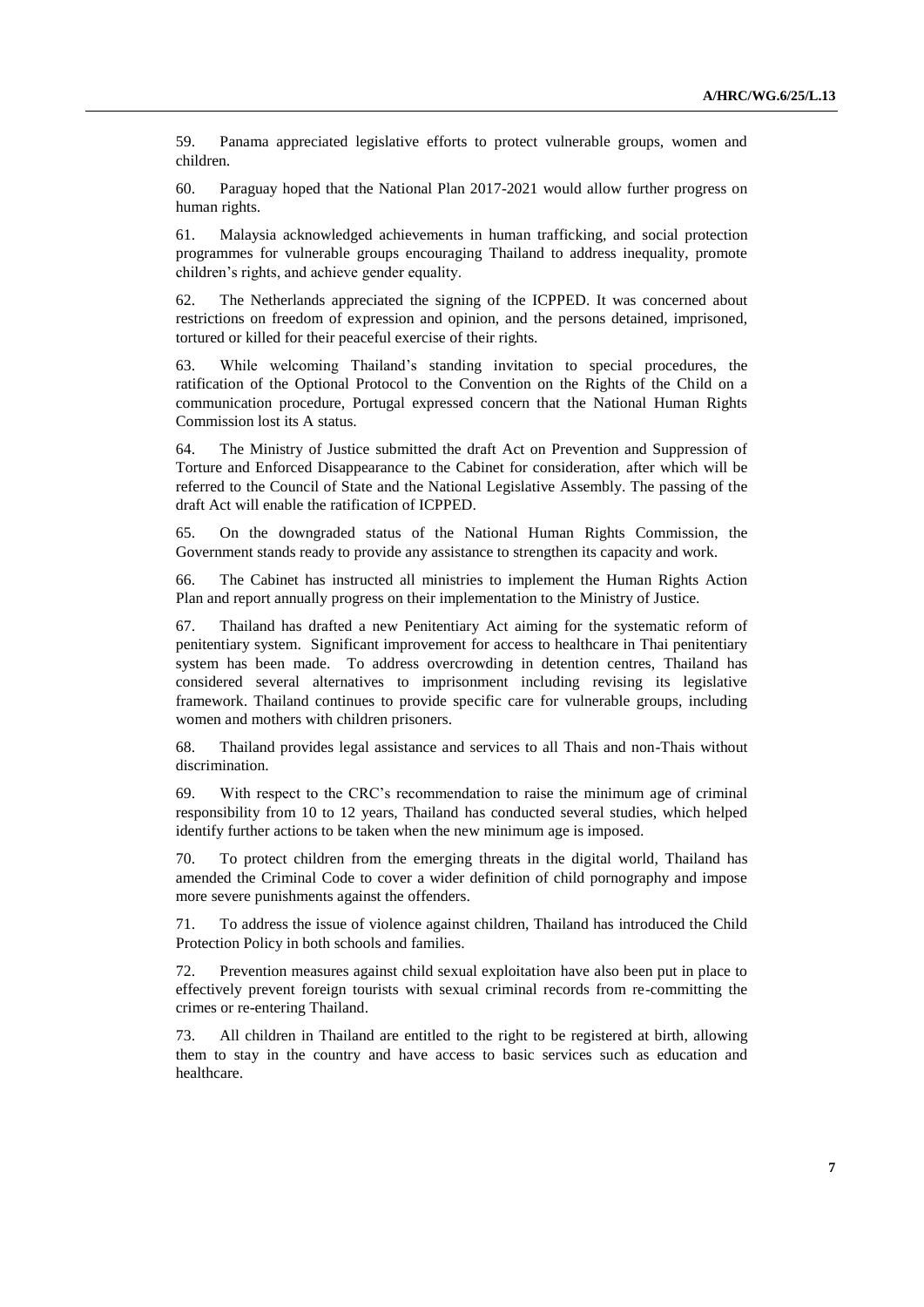59. Panama appreciated legislative efforts to protect vulnerable groups, women and children.

60. Paraguay hoped that the National Plan 2017-2021 would allow further progress on human rights.

61. Malaysia acknowledged achievements in human trafficking, and social protection programmes for vulnerable groups encouraging Thailand to address inequality, promote children's rights, and achieve gender equality.

62. The Netherlands appreciated the signing of the ICPPED. It was concerned about restrictions on freedom of expression and opinion, and the persons detained, imprisoned, tortured or killed for their peaceful exercise of their rights.

63. While welcoming Thailand's standing invitation to special procedures, the ratification of the Optional Protocol to the Convention on the Rights of the Child on a communication procedure, Portugal expressed concern that the National Human Rights Commission lost its A status.

64. The Ministry of Justice submitted the draft Act on Prevention and Suppression of Torture and Enforced Disappearance to the Cabinet for consideration, after which will be referred to the Council of State and the National Legislative Assembly. The passing of the draft Act will enable the ratification of ICPPED.

65. On the downgraded status of the National Human Rights Commission, the Government stands ready to provide any assistance to strengthen its capacity and work.

66. The Cabinet has instructed all ministries to implement the Human Rights Action Plan and report annually progress on their implementation to the Ministry of Justice.

67. Thailand has drafted a new Penitentiary Act aiming for the systematic reform of penitentiary system. Significant improvement for access to healthcare in Thai penitentiary system has been made. To address overcrowding in detention centres, Thailand has considered several alternatives to imprisonment including revising its legislative framework. Thailand continues to provide specific care for vulnerable groups, including women and mothers with children prisoners.

68. Thailand provides legal assistance and services to all Thais and non-Thais without discrimination.

69. With respect to the CRC's recommendation to raise the minimum age of criminal responsibility from 10 to 12 years, Thailand has conducted several studies, which helped identify further actions to be taken when the new minimum age is imposed.

70. To protect children from the emerging threats in the digital world, Thailand has amended the Criminal Code to cover a wider definition of child pornography and impose more severe punishments against the offenders.

71. To address the issue of violence against children, Thailand has introduced the Child Protection Policy in both schools and families.

72. Prevention measures against child sexual exploitation have also been put in place to effectively prevent foreign tourists with sexual criminal records from re-committing the crimes or re-entering Thailand.

73. All children in Thailand are entitled to the right to be registered at birth, allowing them to stay in the country and have access to basic services such as education and healthcare.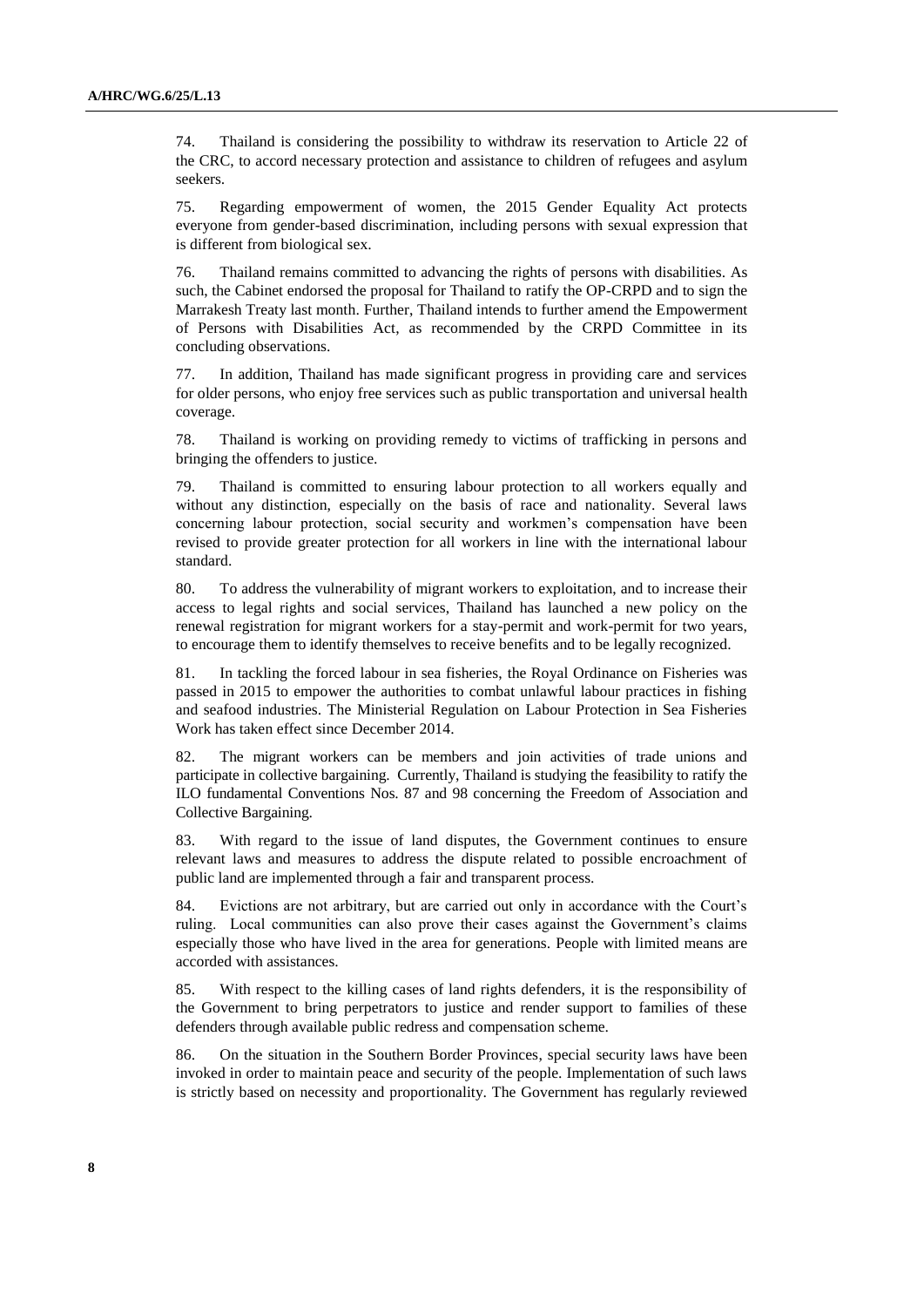74. Thailand is considering the possibility to withdraw its reservation to Article 22 of the CRC, to accord necessary protection and assistance to children of refugees and asylum seekers.

75. Regarding empowerment of women, the 2015 Gender Equality Act protects everyone from gender-based discrimination, including persons with sexual expression that is different from biological sex.

76. Thailand remains committed to advancing the rights of persons with disabilities. As such, the Cabinet endorsed the proposal for Thailand to ratify the OP-CRPD and to sign the Marrakesh Treaty last month. Further, Thailand intends to further amend the Empowerment of Persons with Disabilities Act, as recommended by the CRPD Committee in its concluding observations.

77. In addition, Thailand has made significant progress in providing care and services for older persons, who enjoy free services such as public transportation and universal health coverage.

78. Thailand is working on providing remedy to victims of trafficking in persons and bringing the offenders to justice.

79. Thailand is committed to ensuring labour protection to all workers equally and without any distinction, especially on the basis of race and nationality. Several laws concerning labour protection, social security and workmen's compensation have been revised to provide greater protection for all workers in line with the international labour standard.

80. To address the vulnerability of migrant workers to exploitation, and to increase their access to legal rights and social services, Thailand has launched a new policy on the renewal registration for migrant workers for a stay-permit and work-permit for two years, to encourage them to identify themselves to receive benefits and to be legally recognized.

81. In tackling the forced labour in sea fisheries, the Royal Ordinance on Fisheries was passed in 2015 to empower the authorities to combat unlawful labour practices in fishing and seafood industries. The Ministerial Regulation on Labour Protection in Sea Fisheries Work has taken effect since December 2014.

82. The migrant workers can be members and join activities of trade unions and participate in collective bargaining. Currently, Thailand is studying the feasibility to ratify the ILO fundamental Conventions Nos. 87 and 98 concerning the Freedom of Association and Collective Bargaining.

83. With regard to the issue of land disputes, the Government continues to ensure relevant laws and measures to address the dispute related to possible encroachment of public land are implemented through a fair and transparent process.

84. Evictions are not arbitrary, but are carried out only in accordance with the Court's ruling. Local communities can also prove their cases against the Government's claims especially those who have lived in the area for generations. People with limited means are accorded with assistances.

85. With respect to the killing cases of land rights defenders, it is the responsibility of the Government to bring perpetrators to justice and render support to families of these defenders through available public redress and compensation scheme.

86. On the situation in the Southern Border Provinces, special security laws have been invoked in order to maintain peace and security of the people. Implementation of such laws is strictly based on necessity and proportionality. The Government has regularly reviewed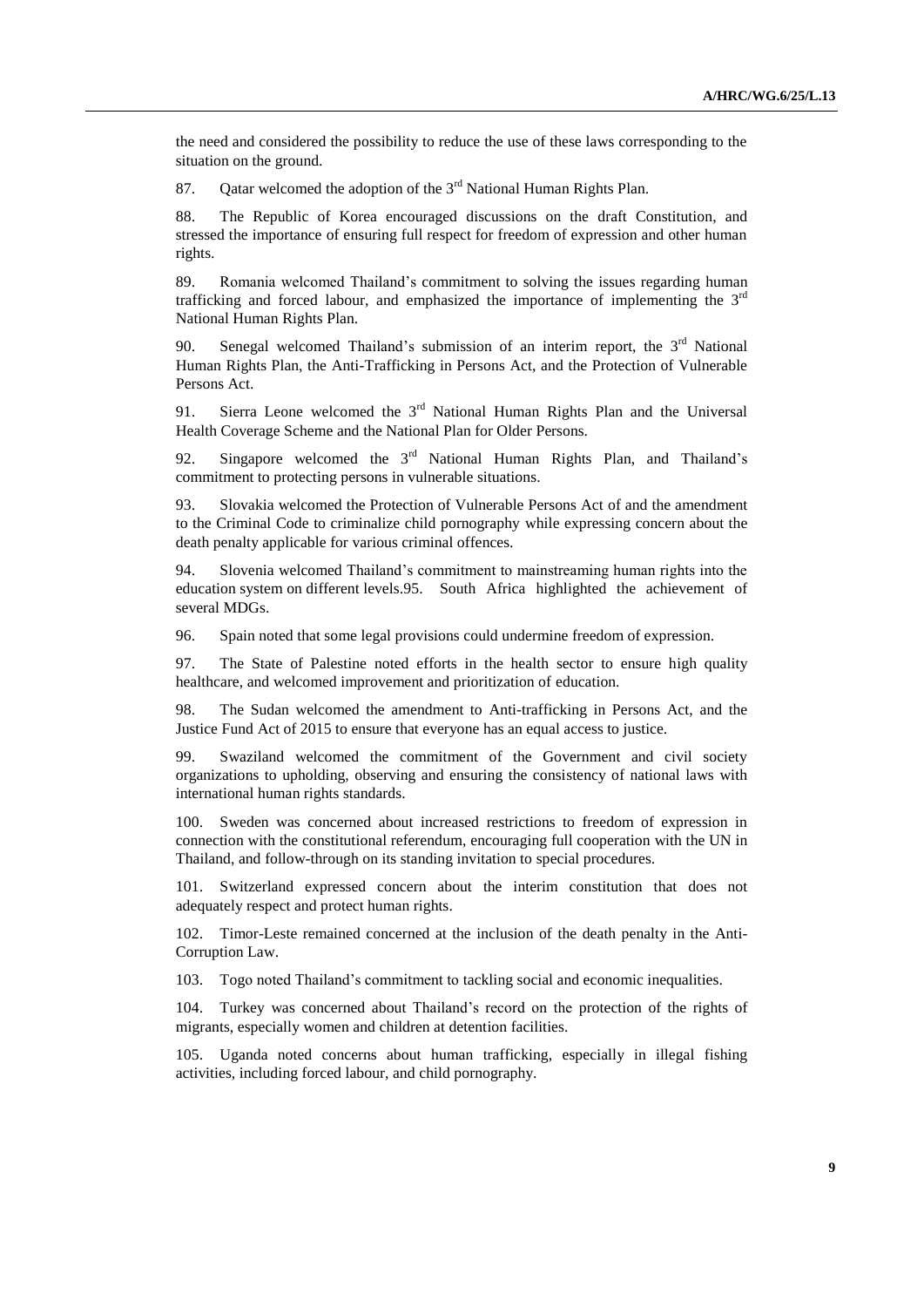the need and considered the possibility to reduce the use of these laws corresponding to the situation on the ground.

87. Oatar welcomed the adoption of the  $3<sup>rd</sup>$  National Human Rights Plan.

88. The Republic of Korea encouraged discussions on the draft Constitution, and stressed the importance of ensuring full respect for freedom of expression and other human rights.

89. Romania welcomed Thailand's commitment to solving the issues regarding human trafficking and forced labour, and emphasized the importance of implementing the  $3<sup>rd</sup>$ National Human Rights Plan.

90. Senegal welcomed Thailand's submission of an interim report, the  $3<sup>rd</sup>$  National Human Rights Plan, the Anti-Trafficking in Persons Act, and the Protection of Vulnerable Persons Act.

91. Sierra Leone welcomed the 3<sup>rd</sup> National Human Rights Plan and the Universal Health Coverage Scheme and the National Plan for Older Persons.

92. Singapore welcomed the  $3<sup>rd</sup>$  National Human Rights Plan, and Thailand's commitment to protecting persons in vulnerable situations.

93. Slovakia welcomed the Protection of Vulnerable Persons Act of and the amendment to the Criminal Code to criminalize child pornography while expressing concern about the death penalty applicable for various criminal offences.

94. Slovenia welcomed Thailand's commitment to mainstreaming human rights into the education system on different levels.95. South Africa highlighted the achievement of several MDGs.

96. Spain noted that some legal provisions could undermine freedom of expression.

97. The State of Palestine noted efforts in the health sector to ensure high quality healthcare, and welcomed improvement and prioritization of education.

98. The Sudan welcomed the amendment to Anti-trafficking in Persons Act, and the Justice Fund Act of 2015 to ensure that everyone has an equal access to justice.

99. Swaziland welcomed the commitment of the Government and civil society organizations to upholding, observing and ensuring the consistency of national laws with international human rights standards.

100. Sweden was concerned about increased restrictions to freedom of expression in connection with the constitutional referendum, encouraging full cooperation with the UN in Thailand, and follow-through on its standing invitation to special procedures.

101. Switzerland expressed concern about the interim constitution that does not adequately respect and protect human rights.

102. Timor-Leste remained concerned at the inclusion of the death penalty in the Anti-Corruption Law.

103. Togo noted Thailand's commitment to tackling social and economic inequalities.

104. Turkey was concerned about Thailand's record on the protection of the rights of migrants, especially women and children at detention facilities.

105. Uganda noted concerns about human trafficking, especially in illegal fishing activities, including forced labour, and child pornography.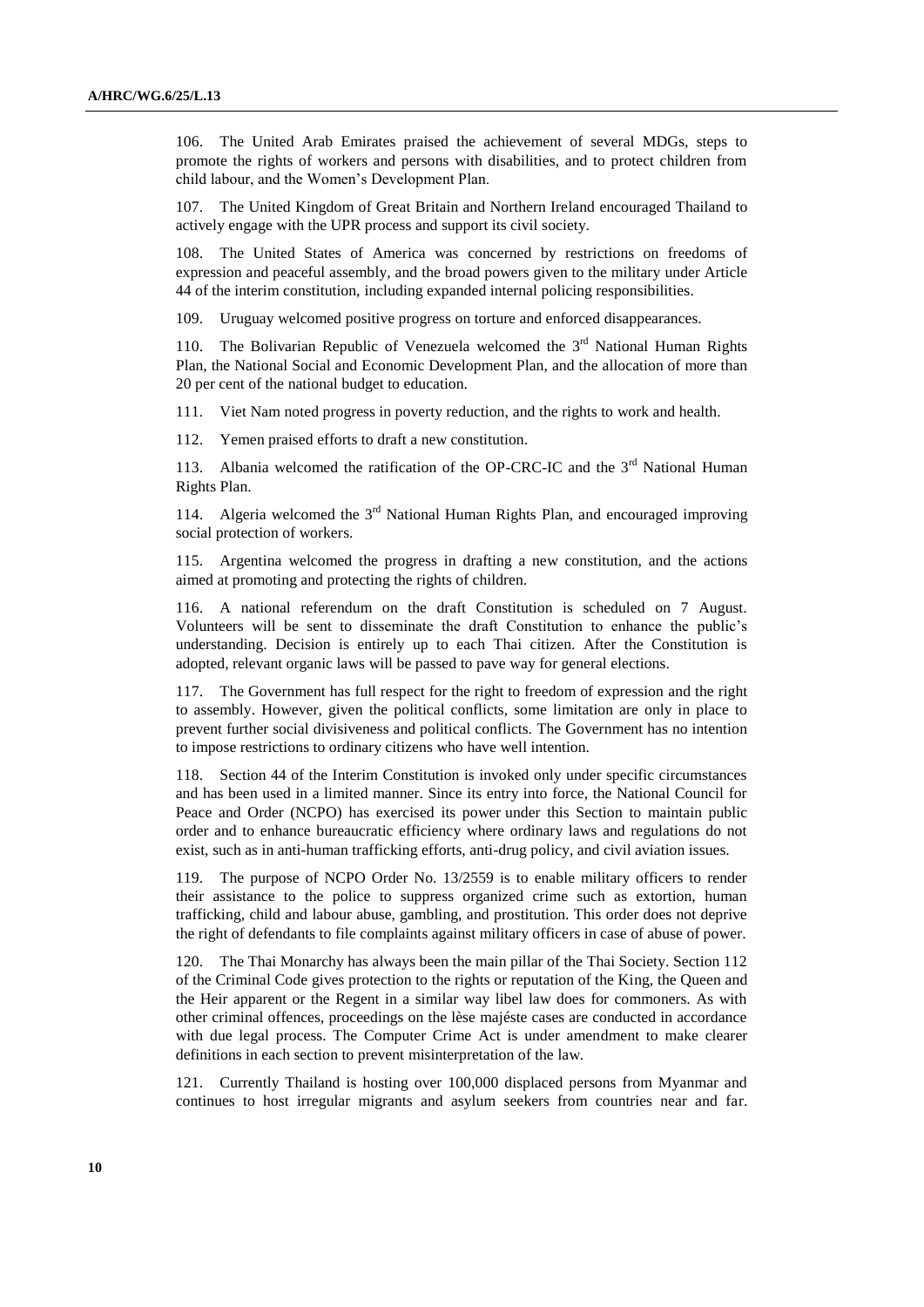106. The United Arab Emirates praised the achievement of several MDGs, steps to promote the rights of workers and persons with disabilities, and to protect children from child labour, and the Women's Development Plan.

107. The United Kingdom of Great Britain and Northern Ireland encouraged Thailand to actively engage with the UPR process and support its civil society.

108. The United States of America was concerned by restrictions on freedoms of expression and peaceful assembly, and the broad powers given to the military under Article 44 of the interim constitution, including expanded internal policing responsibilities.

109. Uruguay welcomed positive progress on torture and enforced disappearances.

110. The Bolivarian Republic of Venezuela welcomed the  $3<sup>rd</sup>$  National Human Rights Plan, the National Social and Economic Development Plan, and the allocation of more than 20 per cent of the national budget to education.

111. Viet Nam noted progress in poverty reduction, and the rights to work and health.

112. Yemen praised efforts to draft a new constitution.

113. Albania welcomed the ratification of the OP-CRC-IC and the  $3<sup>rd</sup>$  National Human Rights Plan.

114. Algeria welcomed the  $3<sup>rd</sup>$  National Human Rights Plan, and encouraged improving social protection of workers.

115. Argentina welcomed the progress in drafting a new constitution, and the actions aimed at promoting and protecting the rights of children.

116. A national referendum on the draft Constitution is scheduled on 7 August. Volunteers will be sent to disseminate the draft Constitution to enhance the public's understanding. Decision is entirely up to each Thai citizen. After the Constitution is adopted, relevant organic laws will be passed to pave way for general elections.

117. The Government has full respect for the right to freedom of expression and the right to assembly. However, given the political conflicts, some limitation are only in place to prevent further social divisiveness and political conflicts. The Government has no intention to impose restrictions to ordinary citizens who have well intention.

118. Section 44 of the Interim Constitution is invoked only under specific circumstances and has been used in a limited manner. Since its entry into force, the National Council for Peace and Order (NCPO) has exercised its power under this Section to maintain public order and to enhance bureaucratic efficiency where ordinary laws and regulations do not exist, such as in anti-human trafficking efforts, anti-drug policy, and civil aviation issues.

119. The purpose of NCPO Order No. 13/2559 is to enable military officers to render their assistance to the police to suppress organized crime such as extortion, human trafficking, child and labour abuse, gambling, and prostitution. This order does not deprive the right of defendants to file complaints against military officers in case of abuse of power.

120. The Thai Monarchy has always been the main pillar of the Thai Society. Section 112 of the Criminal Code gives protection to the rights or reputation of the King, the Queen and the Heir apparent or the Regent in a similar way libel law does for commoners. As with other criminal offences, proceedings on the lèse majéste cases are conducted in accordance with due legal process. The Computer Crime Act is under amendment to make clearer definitions in each section to prevent misinterpretation of the law.

121. Currently Thailand is hosting over 100,000 displaced persons from Myanmar and continues to host irregular migrants and asylum seekers from countries near and far.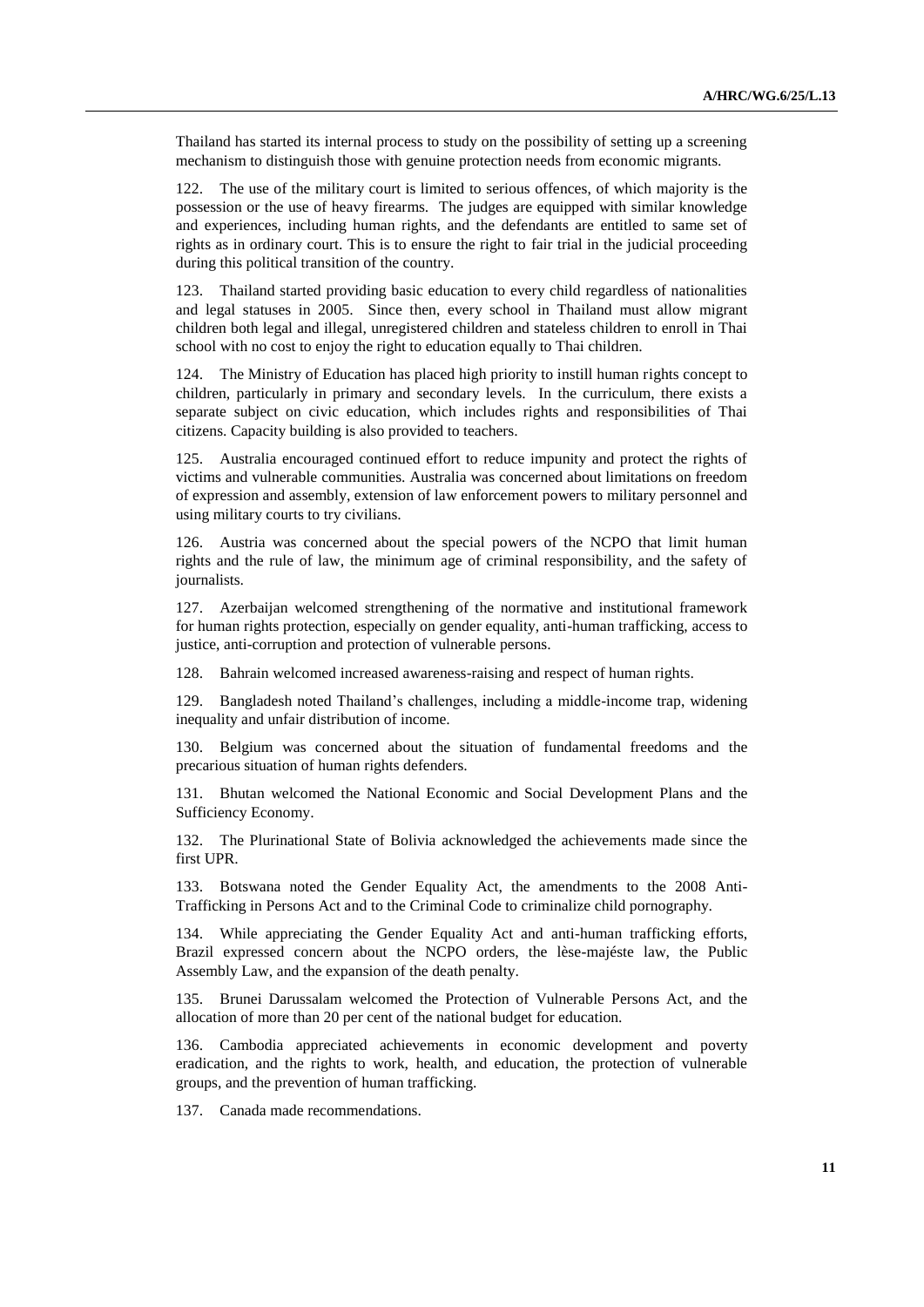Thailand has started its internal process to study on the possibility of setting up a screening mechanism to distinguish those with genuine protection needs from economic migrants.

122. The use of the military court is limited to serious offences, of which majority is the possession or the use of heavy firearms. The judges are equipped with similar knowledge and experiences, including human rights, and the defendants are entitled to same set of rights as in ordinary court. This is to ensure the right to fair trial in the judicial proceeding during this political transition of the country.

123. Thailand started providing basic education to every child regardless of nationalities and legal statuses in 2005. Since then, every school in Thailand must allow migrant children both legal and illegal, unregistered children and stateless children to enroll in Thai school with no cost to enjoy the right to education equally to Thai children.

124. The Ministry of Education has placed high priority to instill human rights concept to children, particularly in primary and secondary levels. In the curriculum, there exists a separate subject on civic education, which includes rights and responsibilities of Thai citizens. Capacity building is also provided to teachers.

125. Australia encouraged continued effort to reduce impunity and protect the rights of victims and vulnerable communities. Australia was concerned about limitations on freedom of expression and assembly, extension of law enforcement powers to military personnel and using military courts to try civilians.

126. Austria was concerned about the special powers of the NCPO that limit human rights and the rule of law, the minimum age of criminal responsibility, and the safety of journalists.

127. Azerbaijan welcomed strengthening of the normative and institutional framework for human rights protection, especially on gender equality, anti-human trafficking, access to justice, anti-corruption and protection of vulnerable persons.

128. Bahrain welcomed increased awareness-raising and respect of human rights.

129. Bangladesh noted Thailand's challenges, including a middle-income trap, widening inequality and unfair distribution of income.

130. Belgium was concerned about the situation of fundamental freedoms and the precarious situation of human rights defenders.

131. Bhutan welcomed the National Economic and Social Development Plans and the Sufficiency Economy.

132. The Plurinational State of Bolivia acknowledged the achievements made since the first UPR.

133. Botswana noted the Gender Equality Act, the amendments to the 2008 Anti-Trafficking in Persons Act and to the Criminal Code to criminalize child pornography.

134. While appreciating the Gender Equality Act and anti-human trafficking efforts, Brazil expressed concern about the NCPO orders, the lèse-majéste law, the Public Assembly Law, and the expansion of the death penalty.

135. Brunei Darussalam welcomed the Protection of Vulnerable Persons Act, and the allocation of more than 20 per cent of the national budget for education.

136. Cambodia appreciated achievements in economic development and poverty eradication, and the rights to work, health, and education, the protection of vulnerable groups, and the prevention of human trafficking.

137. Canada made recommendations.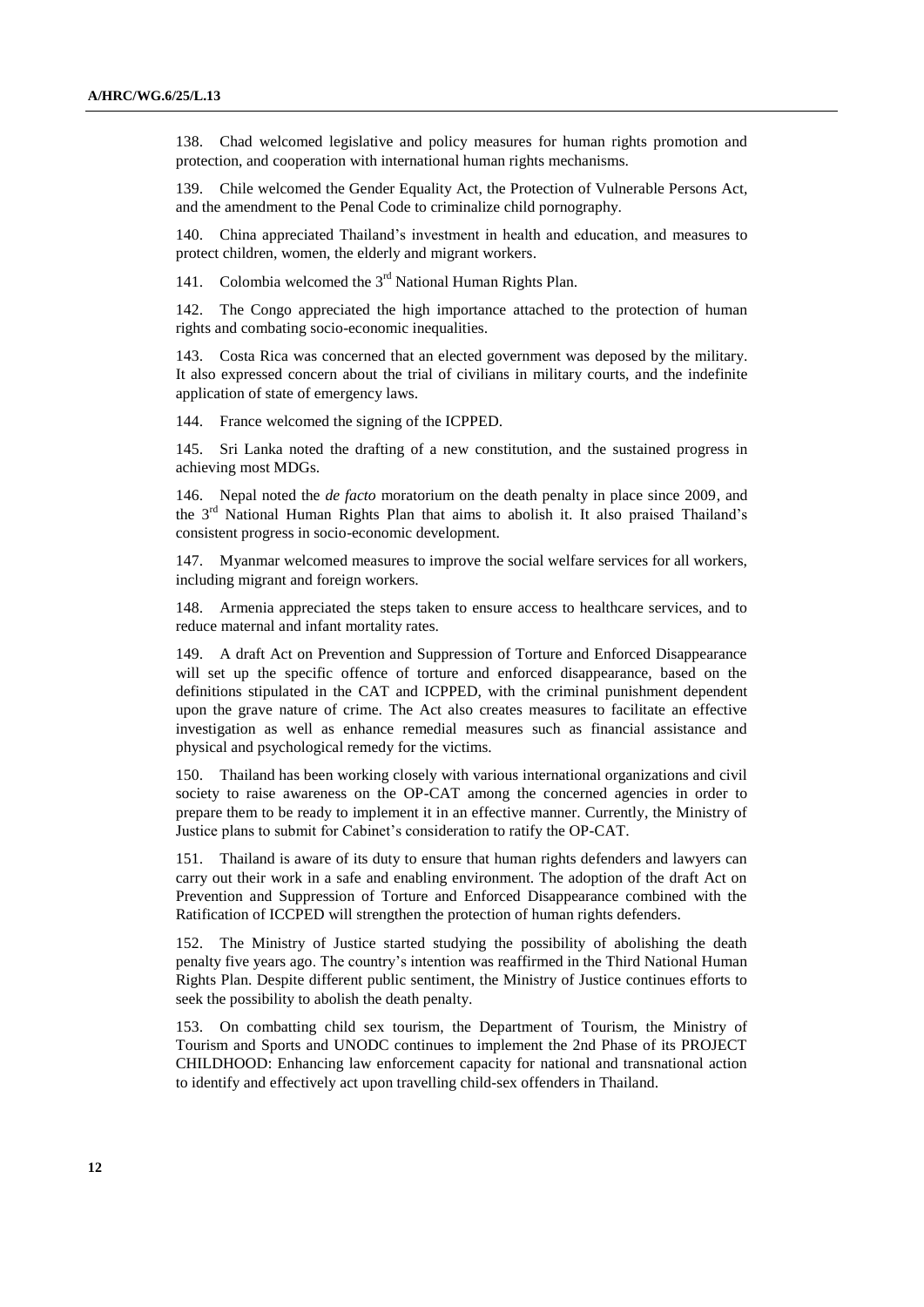138. Chad welcomed legislative and policy measures for human rights promotion and protection, and cooperation with international human rights mechanisms.

139. Chile welcomed the Gender Equality Act, the Protection of Vulnerable Persons Act, and the amendment to the Penal Code to criminalize child pornography.

140. China appreciated Thailand's investment in health and education, and measures to protect children, women, the elderly and migrant workers.

141. Colombia welcomed the  $3<sup>rd</sup>$  National Human Rights Plan.

142. The Congo appreciated the high importance attached to the protection of human rights and combating socio-economic inequalities.

143. Costa Rica was concerned that an elected government was deposed by the military. It also expressed concern about the trial of civilians in military courts, and the indefinite application of state of emergency laws.

144. France welcomed the signing of the ICPPED.

145. Sri Lanka noted the drafting of a new constitution, and the sustained progress in achieving most MDGs.

146. Nepal noted the *de facto* moratorium on the death penalty in place since 2009, and the 3rd National Human Rights Plan that aims to abolish it. It also praised Thailand's consistent progress in socio-economic development.

147. Myanmar welcomed measures to improve the social welfare services for all workers, including migrant and foreign workers.

148. Armenia appreciated the steps taken to ensure access to healthcare services, and to reduce maternal and infant mortality rates.

149. A draft Act on Prevention and Suppression of Torture and Enforced Disappearance will set up the specific offence of torture and enforced disappearance, based on the definitions stipulated in the CAT and ICPPED, with the criminal punishment dependent upon the grave nature of crime. The Act also creates measures to facilitate an effective investigation as well as enhance remedial measures such as financial assistance and physical and psychological remedy for the victims.

150. Thailand has been working closely with various international organizations and civil society to raise awareness on the OP-CAT among the concerned agencies in order to prepare them to be ready to implement it in an effective manner. Currently, the Ministry of Justice plans to submit for Cabinet's consideration to ratify the OP-CAT.

151. Thailand is aware of its duty to ensure that human rights defenders and lawyers can carry out their work in a safe and enabling environment. The adoption of the draft Act on Prevention and Suppression of Torture and Enforced Disappearance combined with the Ratification of ICCPED will strengthen the protection of human rights defenders.

152. The Ministry of Justice started studying the possibility of abolishing the death penalty five years ago. The country's intention was reaffirmed in the Third National Human Rights Plan. Despite different public sentiment, the Ministry of Justice continues efforts to seek the possibility to abolish the death penalty.

153. On combatting child sex tourism, the Department of Tourism, the Ministry of Tourism and Sports and UNODC continues to implement the 2nd Phase of its PROJECT CHILDHOOD: Enhancing law enforcement capacity for national and transnational action to identify and effectively act upon travelling child-sex offenders in Thailand.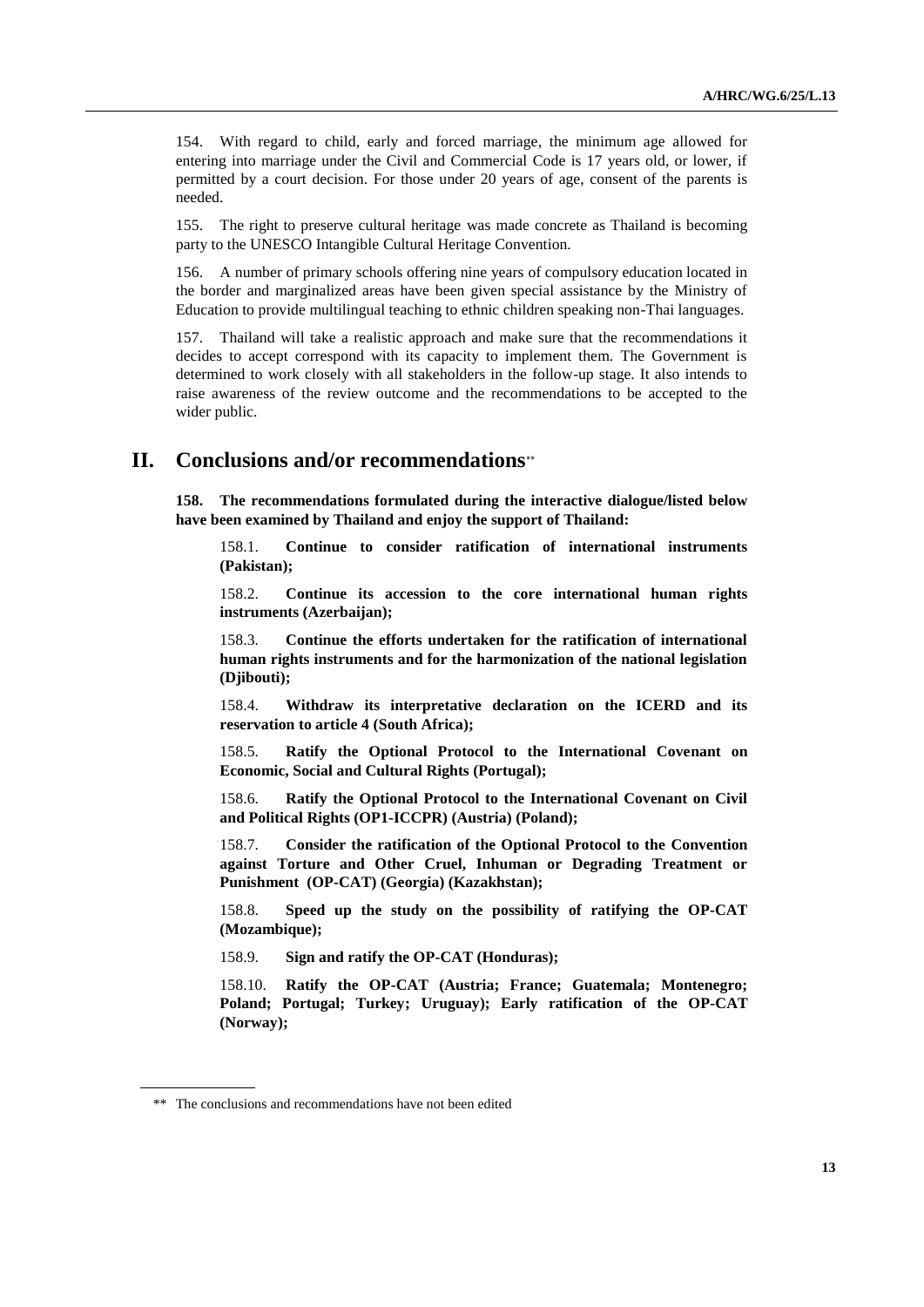154. With regard to child, early and forced marriage, the minimum age allowed for entering into marriage under the Civil and Commercial Code is 17 years old, or lower, if permitted by a court decision. For those under 20 years of age, consent of the parents is needed.

155. The right to preserve cultural heritage was made concrete as Thailand is becoming party to the UNESCO Intangible Cultural Heritage Convention.

156. A number of primary schools offering nine years of compulsory education located in the border and marginalized areas have been given special assistance by the Ministry of Education to provide multilingual teaching to ethnic children speaking non-Thai languages.

157. Thailand will take a realistic approach and make sure that the recommendations it decides to accept correspond with its capacity to implement them. The Government is determined to work closely with all stakeholders in the follow-up stage. It also intends to raise awareness of the review outcome and the recommendations to be accepted to the wider public.

## **II. Conclusions and/or recommendations**

**158. The recommendations formulated during the interactive dialogue/listed below have been examined by Thailand and enjoy the support of Thailand:**

158.1. **Continue to consider ratification of international instruments (Pakistan);**

158.2. **Continue its accession to the core international human rights instruments (Azerbaijan);**

158.3. **Continue the efforts undertaken for the ratification of international human rights instruments and for the harmonization of the national legislation (Djibouti);**

158.4. **Withdraw its interpretative declaration on the ICERD and its reservation to article 4 (South Africa);**

158.5. **Ratify the Optional Protocol to the International Covenant on Economic, Social and Cultural Rights (Portugal);** 

158.6. **Ratify the Optional Protocol to the International Covenant on Civil and Political Rights (OP1-ICCPR) (Austria) (Poland);**

158.7. **Consider the ratification of the Optional Protocol to the [Convention](http://www.ohchr.org/EN/ProfessionalInterest/Pages/CAT.aspx)  [against Torture and Other Cruel, Inhuman or Degrading Treatment or](http://www.ohchr.org/EN/ProfessionalInterest/Pages/CAT.aspx)  [Punishment \(](http://www.ohchr.org/EN/ProfessionalInterest/Pages/CAT.aspx)OP-CAT) (Georgia) (Kazakhstan);**

158.8. **Speed up the study on the possibility of ratifying the OP-CAT (Mozambique);**

158.9. **Sign and ratify the OP-CAT (Honduras);**

158.10. **Ratify the OP-CAT (Austria; France; Guatemala; Montenegro; Poland; Portugal; Turkey; Uruguay); Early ratification of the OP-CAT (Norway);**

<sup>\*\*</sup> The conclusions and recommendations have not been edited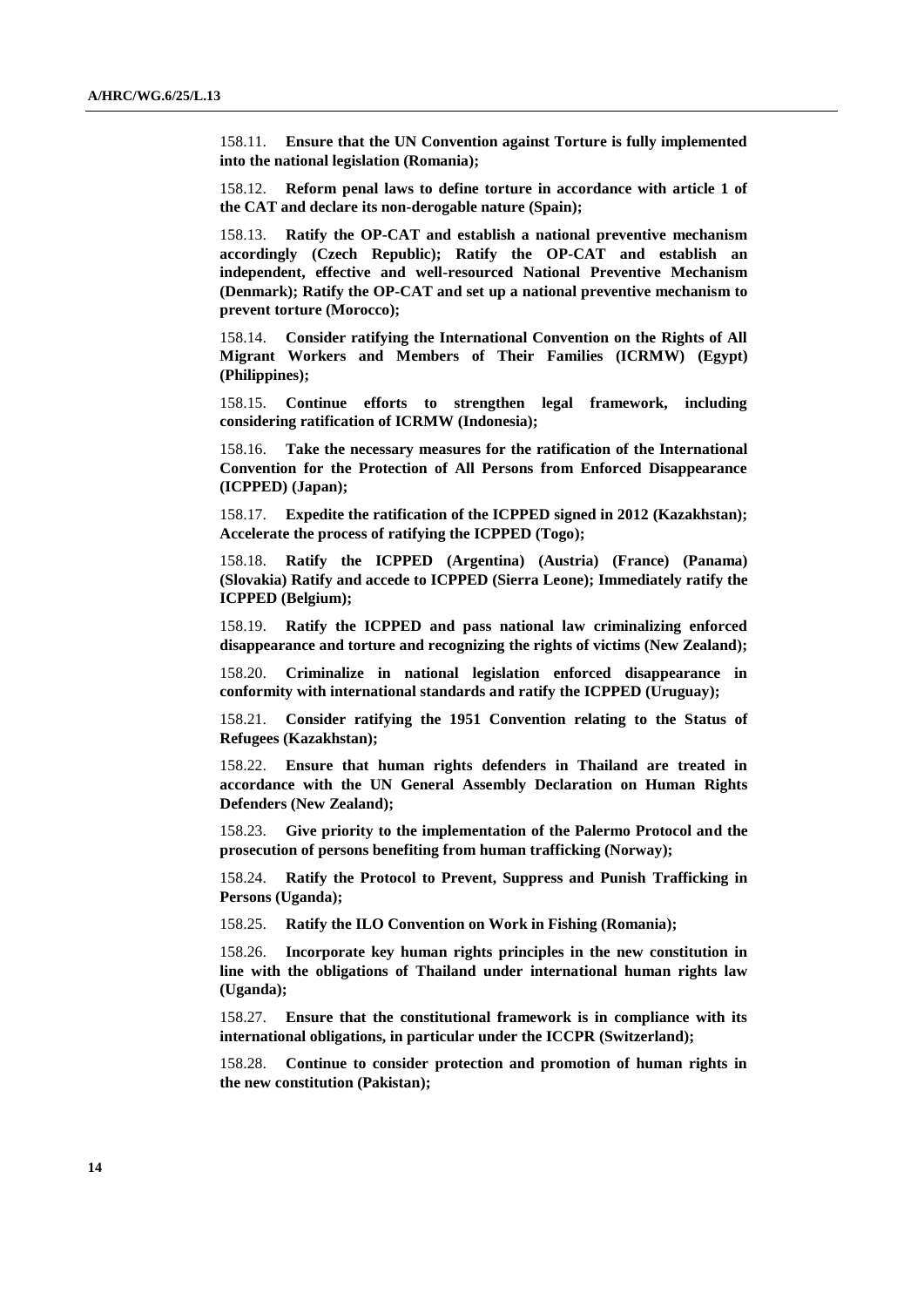158.11. **Ensure that the UN Convention against Torture is fully implemented into the national legislation (Romania);**

158.12. **Reform penal laws to define torture in accordance with article 1 of the CAT and declare its non-derogable nature (Spain);**

158.13. **Ratify the OP-CAT and establish a national preventive mechanism accordingly (Czech Republic); Ratify the OP-CAT and establish an independent, effective and well-resourced National Preventive Mechanism (Denmark); Ratify the OP-CAT and set up a national preventive mechanism to prevent torture (Morocco);**

158.14. **Consider ratifying the International Convention on the Rights of All Migrant Workers and Members of Their Families (ICRMW) (Egypt) (Philippines);**

158.15. **Continue efforts to strengthen legal framework, including considering ratification of ICRMW (Indonesia);**

158.16. **Take the necessary measures for the ratification of the International Convention for the Protection of All Persons from Enforced Disappearance (ICPPED) (Japan);**

158.17. **Expedite the ratification of the ICPPED signed in 2012 (Kazakhstan); Accelerate the process of ratifying the ICPPED (Togo);**

158.18. **Ratify the ICPPED (Argentina) (Austria) (France) (Panama) (Slovakia) Ratify and accede to ICPPED (Sierra Leone); Immediately ratify the ICPPED (Belgium);**

158.19. **Ratify the ICPPED and pass national law criminalizing enforced disappearance and torture and recognizing the rights of victims (New Zealand);**

158.20. **Criminalize in national legislation enforced disappearance in conformity with international standards and ratify the ICPPED (Uruguay);**

158.21. **Consider ratifying the 1951 Convention relating to the Status of Refugees (Kazakhstan);**

158.22. **Ensure that human rights defenders in Thailand are treated in accordance with the UN General Assembly Declaration on Human Rights Defenders (New Zealand);**

158.23. **Give priority to the implementation of the Palermo Protocol and the prosecution of persons benefiting from human trafficking (Norway);**

158.24. **Ratify the Protocol to Prevent, Suppress and Punish Trafficking in Persons (Uganda);**

158.25. **Ratify the ILO Convention on Work in Fishing (Romania);**

158.26. **Incorporate key human rights principles in the new constitution in line with the obligations of Thailand under international human rights law (Uganda);**

158.27. **Ensure that the constitutional framework is in compliance with its international obligations, in particular under the ICCPR (Switzerland);**

158.28. **Continue to consider protection and promotion of human rights in the new constitution (Pakistan);**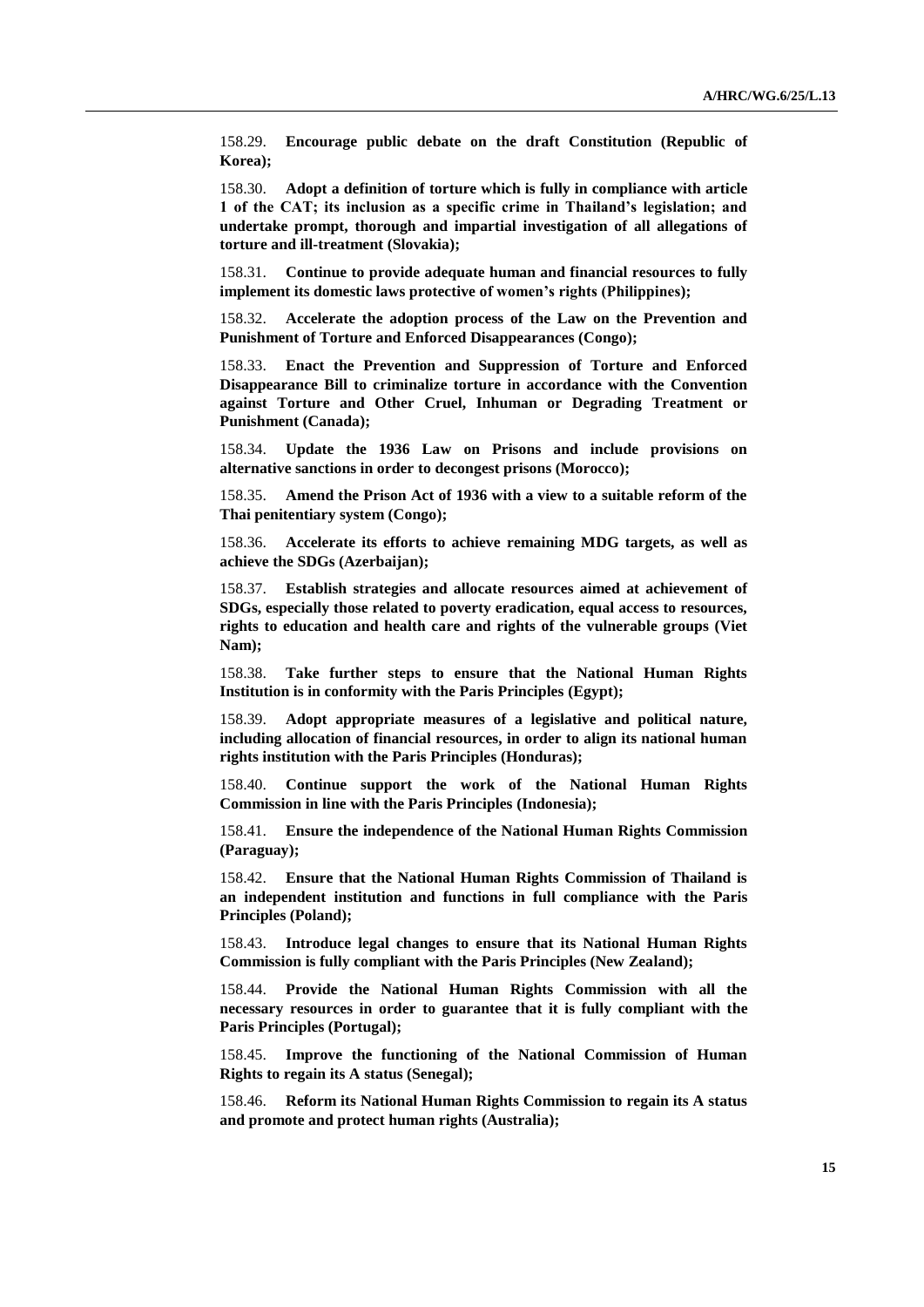158.29. **Encourage public debate on the draft Constitution (Republic of Korea);**

158.30. **Adopt a definition of torture which is fully in compliance with article 1 of the CAT; its inclusion as a specific crime in Thailand's legislation; and undertake prompt, thorough and impartial investigation of all allegations of torture and ill-treatment (Slovakia);**

158.31. **Continue to provide adequate human and financial resources to fully implement its domestic laws protective of women's rights (Philippines);**

158.32. **Accelerate the adoption process of the Law on the Prevention and Punishment of Torture and Enforced Disappearances (Congo);**

158.33. **Enact the Prevention and Suppression of Torture and Enforced Disappearance Bill to criminalize torture in accordance with the Convention against Torture and Other Cruel, Inhuman or Degrading Treatment or Punishment (Canada);** 

158.34. **Update the 1936 Law on Prisons and include provisions on alternative sanctions in order to decongest prisons (Morocco);**

158.35. **Amend the Prison Act of 1936 with a view to a suitable reform of the Thai penitentiary system (Congo);** 

158.36. **Accelerate its efforts to achieve remaining MDG targets, as well as achieve the SDGs (Azerbaijan);**

158.37. **Establish strategies and allocate resources aimed at achievement of SDGs, especially those related to poverty eradication, equal access to resources, rights to education and health care and rights of the vulnerable groups (Viet Nam);**

158.38. **Take further steps to ensure that the National Human Rights Institution is in conformity with the Paris Principles (Egypt);**

158.39. **Adopt appropriate measures of a legislative and political nature, including allocation of financial resources, in order to align its national human rights institution with the Paris Principles (Honduras);**

158.40. **Continue support the work of the National Human Rights Commission in line with the Paris Principles (Indonesia);**

158.41. **Ensure the independence of the National Human Rights Commission (Paraguay);**

158.42. **Ensure that the National Human Rights Commission of Thailand is an independent institution and functions in full compliance with the Paris Principles (Poland);**

158.43. **Introduce legal changes to ensure that its National Human Rights Commission is fully compliant with the Paris Principles (New Zealand);**

158.44. **Provide the National Human Rights Commission with all the necessary resources in order to guarantee that it is fully compliant with the Paris Principles (Portugal);**

158.45. **Improve the functioning of the National Commission of Human Rights to regain its A status (Senegal);**

158.46. **Reform its National Human Rights Commission to regain its A status and promote and protect human rights (Australia);**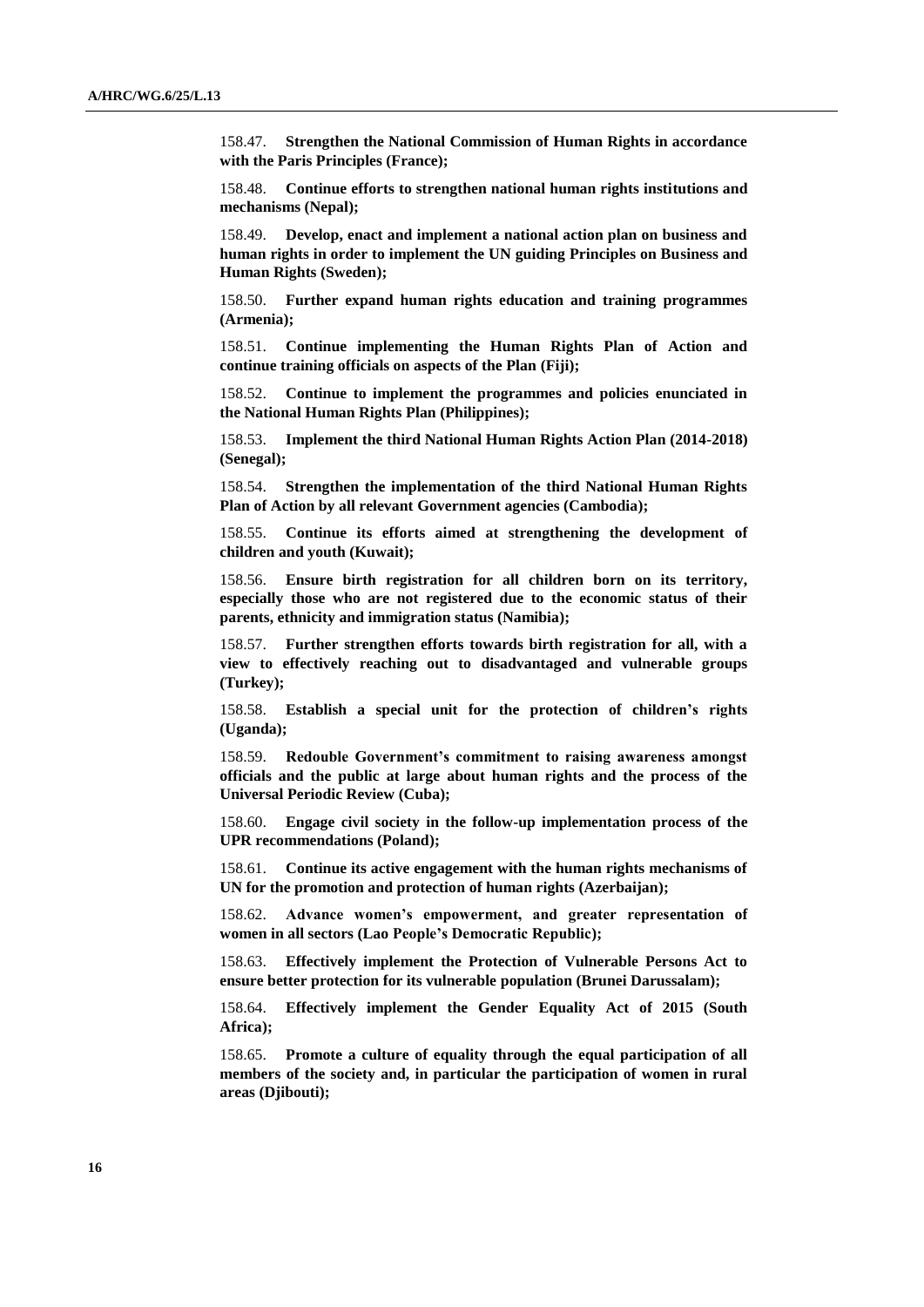158.47. **Strengthen the National Commission of Human Rights in accordance with the Paris Principles (France);**

158.48. **Continue efforts to strengthen national human rights institutions and mechanisms (Nepal);**

158.49. **Develop, enact and implement a national action plan on business and human rights in order to implement the UN guiding Principles on Business and Human Rights (Sweden);**

158.50. **Further expand human rights education and training programmes (Armenia);**

158.51. **Continue implementing the Human Rights Plan of Action and continue training officials on aspects of the Plan (Fiji);**

158.52. **Continue to implement the programmes and policies enunciated in the National Human Rights Plan (Philippines);**

158.53. **Implement the third National Human Rights Action Plan (2014-2018) (Senegal);**

158.54. **Strengthen the implementation of the third National Human Rights Plan of Action by all relevant Government agencies (Cambodia);**

158.55. **Continue its efforts aimed at strengthening the development of children and youth (Kuwait);**

158.56. **Ensure birth registration for all children born on its territory, especially those who are not registered due to the economic status of their parents, ethnicity and immigration status (Namibia);**

158.57. **Further strengthen efforts towards birth registration for all, with a view to effectively reaching out to disadvantaged and vulnerable groups (Turkey);**

158.58. **Establish a special unit for the protection of children's rights (Uganda);**

158.59. **Redouble Government's commitment to raising awareness amongst officials and the public at large about human rights and the process of the Universal Periodic Review (Cuba);**

158.60. **Engage civil society in the follow-up implementation process of the UPR recommendations (Poland);**

158.61. **Continue its active engagement with the human rights mechanisms of UN for the promotion and protection of human rights (Azerbaijan);**

158.62. **Advance women's empowerment, and greater representation of women in all sectors (Lao People's Democratic Republic);**

158.63. **Effectively implement the Protection of Vulnerable Persons Act to ensure better protection for its vulnerable population (Brunei Darussalam);** 

158.64. **Effectively implement the Gender Equality Act of 2015 (South Africa);**

158.65. **Promote a culture of equality through the equal participation of all members of the society and, in particular the participation of women in rural areas (Djibouti);**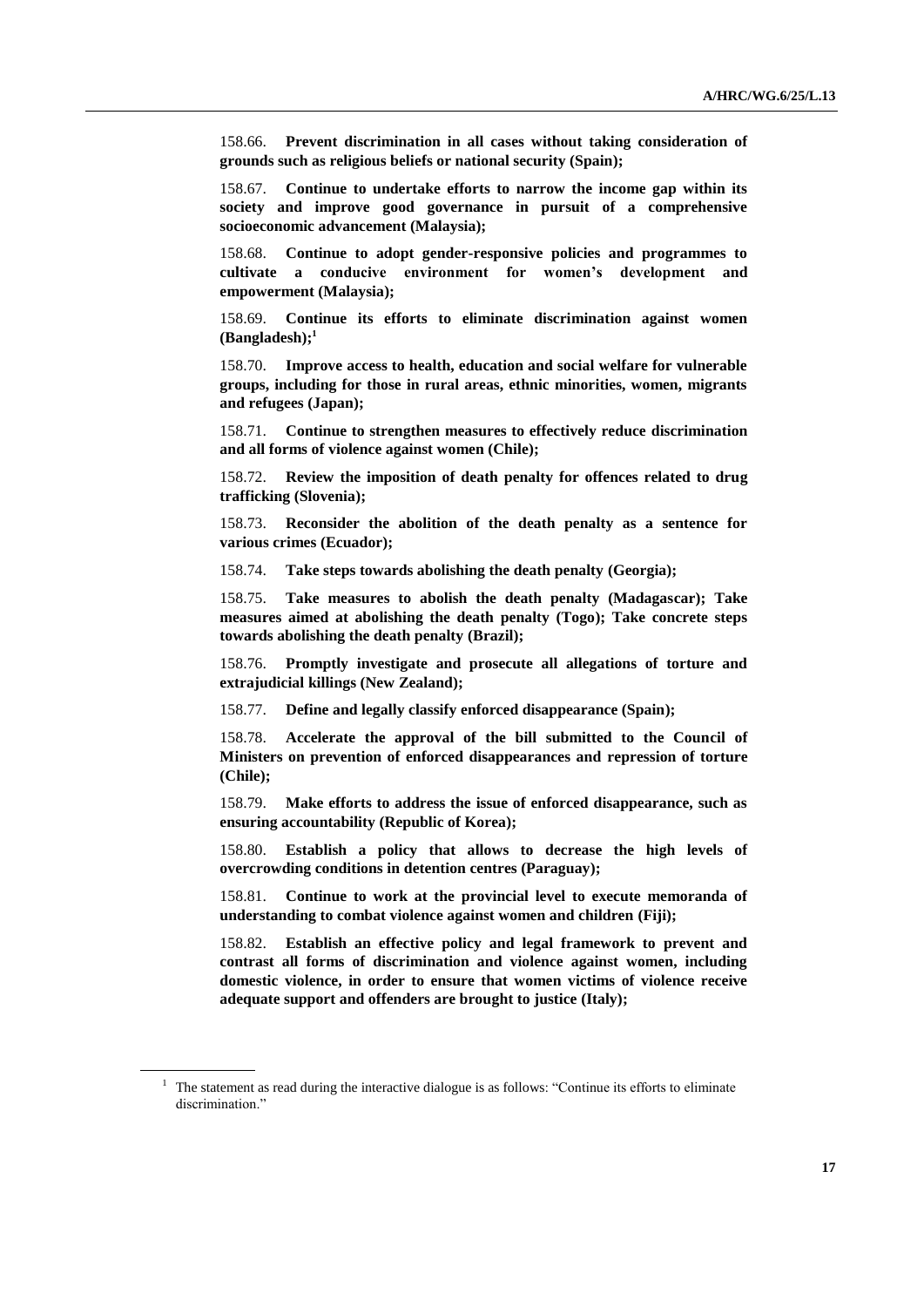158.66. **Prevent discrimination in all cases without taking consideration of grounds such as religious beliefs or national security (Spain);**

158.67. **Continue to undertake efforts to narrow the income gap within its society and improve good governance in pursuit of a comprehensive socioeconomic advancement (Malaysia);**

158.68. **Continue to adopt gender-responsive policies and programmes to cultivate a conducive environment for women's development and empowerment (Malaysia);**

158.69. **Continue its efforts to eliminate discrimination against women (Bangladesh);<sup>1</sup>**

158.70. **Improve access to health, education and social welfare for vulnerable groups, including for those in rural areas, ethnic minorities, women, migrants and refugees (Japan);**

158.71. **Continue to strengthen measures to effectively reduce discrimination and all forms of violence against women (Chile);**

158.72. **Review the imposition of death penalty for offences related to drug trafficking (Slovenia);**

158.73. **Reconsider the abolition of the death penalty as a sentence for various crimes (Ecuador);**

158.74. **Take steps towards abolishing the death penalty (Georgia);**

158.75. **Take measures to abolish the death penalty (Madagascar); Take measures aimed at abolishing the death penalty (Togo); Take concrete steps towards abolishing the death penalty (Brazil);**

158.76. **Promptly investigate and prosecute all allegations of torture and extrajudicial killings (New Zealand);** 

158.77. **Define and legally classify enforced disappearance (Spain);**

158.78. **Accelerate the approval of the bill submitted to the Council of Ministers on prevention of enforced disappearances and repression of torture (Chile);**

158.79. **Make efforts to address the issue of enforced disappearance, such as ensuring accountability (Republic of Korea);**

158.80. **Establish a policy that allows to decrease the high levels of overcrowding conditions in detention centres (Paraguay);**

158.81. **Continue to work at the provincial level to execute memoranda of understanding to combat violence against women and children (Fiji);**

158.82. **Establish an effective policy and legal framework to prevent and contrast all forms of discrimination and violence against women, including domestic violence, in order to ensure that women victims of violence receive adequate support and offenders are brought to justice (Italy);**

<sup>&</sup>lt;sup>1</sup> The statement as read during the interactive dialogue is as follows: "Continue its efforts to eliminate discrimination."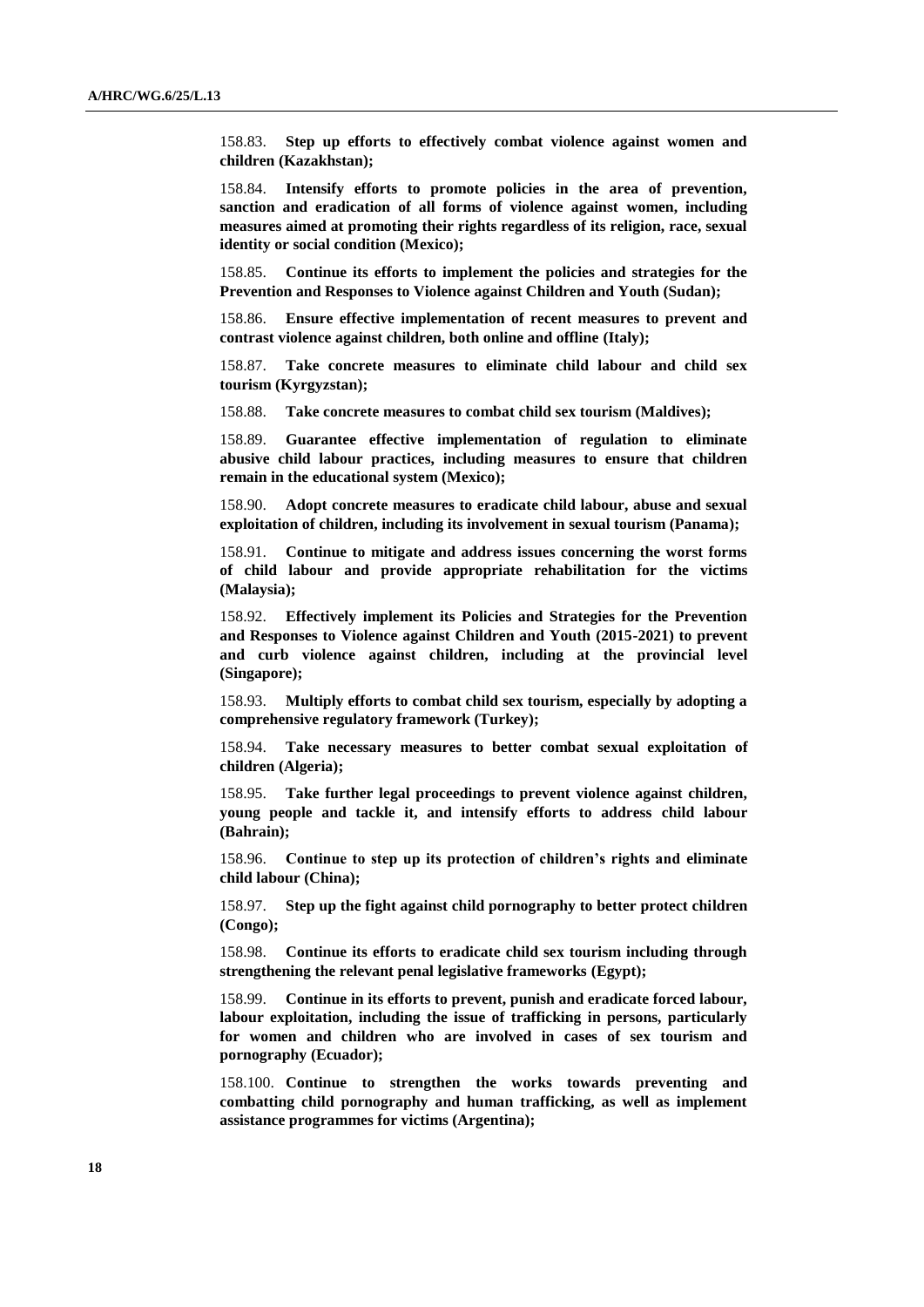158.83. **Step up efforts to effectively combat violence against women and children (Kazakhstan);**

158.84. **Intensify efforts to promote policies in the area of prevention, sanction and eradication of all forms of violence against women, including measures aimed at promoting their rights regardless of its religion, race, sexual identity or social condition (Mexico);**

158.85. **Continue its efforts to implement the policies and strategies for the Prevention and Responses to Violence against Children and Youth (Sudan);**

158.86. **Ensure effective implementation of recent measures to prevent and contrast violence against children, both online and offline (Italy);**

158.87. **Take concrete measures to eliminate child labour and child sex tourism (Kyrgyzstan);**

158.88. **Take concrete measures to combat child sex tourism (Maldives);**

158.89. **Guarantee effective implementation of regulation to eliminate abusive child labour practices, including measures to ensure that children remain in the educational system (Mexico);**

158.90. **Adopt concrete measures to eradicate child labour, abuse and sexual exploitation of children, including its involvement in sexual tourism (Panama);**

158.91. **Continue to mitigate and address issues concerning the worst forms of child labour and provide appropriate rehabilitation for the victims (Malaysia);**

158.92. **Effectively implement its Policies and Strategies for the Prevention and Responses to Violence against Children and Youth (2015-2021) to prevent and curb violence against children, including at the provincial level (Singapore);**

158.93. **Multiply efforts to combat child sex tourism, especially by adopting a comprehensive regulatory framework (Turkey);**

158.94. **Take necessary measures to better combat sexual exploitation of children (Algeria);**

158.95. **Take further legal proceedings to prevent violence against children, young people and tackle it, and intensify efforts to address child labour (Bahrain);**

158.96. **Continue to step up its protection of children's rights and eliminate child labour (China);**

158.97. **Step up the fight against child pornography to better protect children (Congo);**

158.98. **Continue its efforts to eradicate child sex tourism including through strengthening the relevant penal legislative frameworks (Egypt);**

158.99. **Continue in its efforts to prevent, punish and eradicate forced labour, labour exploitation, including the issue of trafficking in persons, particularly for women and children who are involved in cases of sex tourism and pornography (Ecuador);**

158.100. **Continue to strengthen the works towards preventing and combatting child pornography and human trafficking, as well as implement assistance programmes for victims (Argentina);**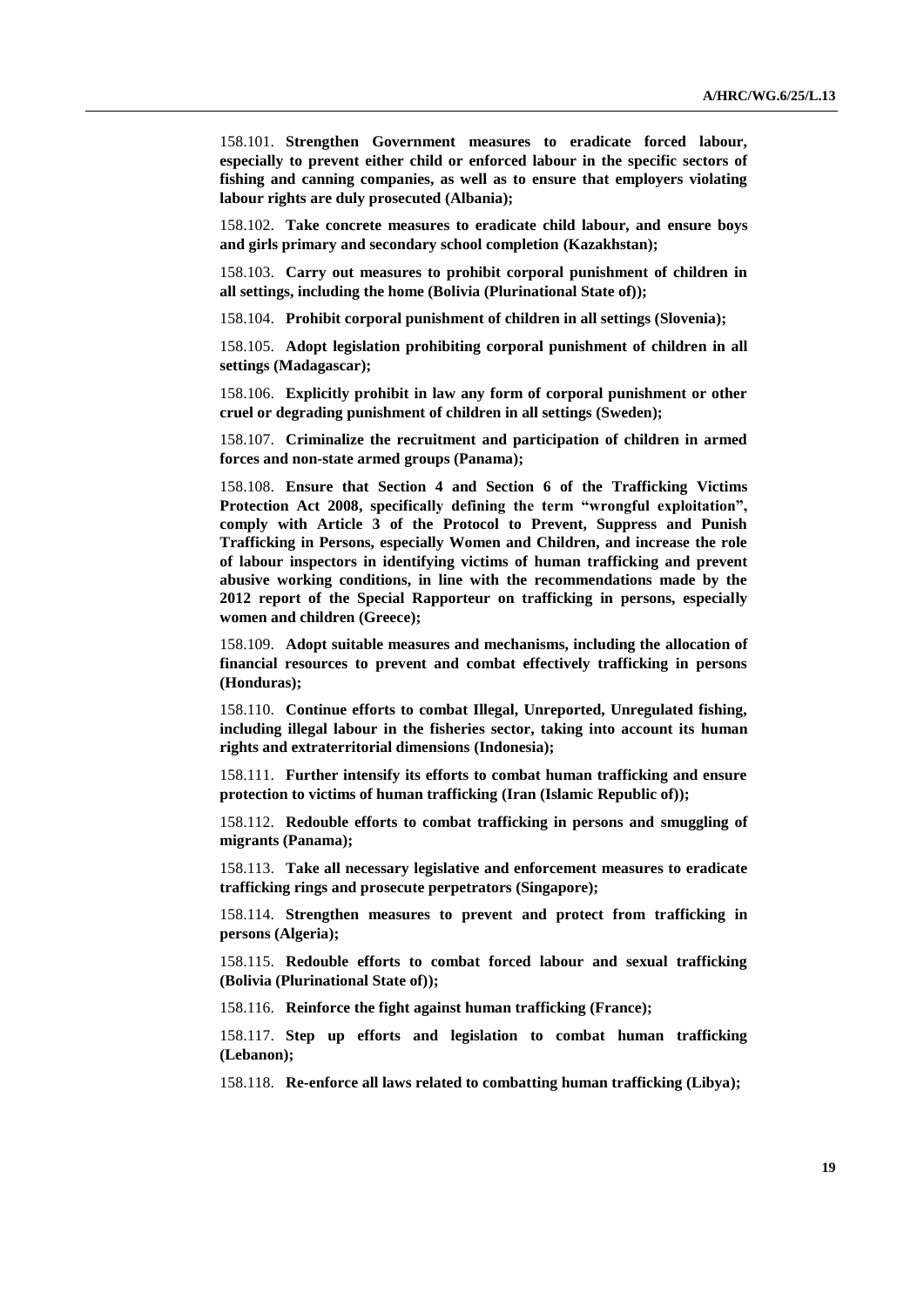158.101. **Strengthen Government measures to eradicate forced labour, especially to prevent either child or enforced labour in the specific sectors of fishing and canning companies, as well as to ensure that employers violating labour rights are duly prosecuted (Albania);**

158.102. **Take concrete measures to eradicate child labour, and ensure boys and girls primary and secondary school completion (Kazakhstan);**

158.103. **Carry out measures to prohibit corporal punishment of children in all settings, including the home (Bolivia (Plurinational State of));**

158.104. **Prohibit corporal punishment of children in all settings (Slovenia);**

158.105. **Adopt legislation prohibiting corporal punishment of children in all settings (Madagascar);**

158.106. **Explicitly prohibit in law any form of corporal punishment or other cruel or degrading punishment of children in all settings (Sweden);**

158.107. **Criminalize the recruitment and participation of children in armed forces and non-state armed groups (Panama);**

158.108. **Ensure that Section 4 and Section 6 of the Trafficking Victims Protection Act 2008, specifically defining the term "wrongful exploitation", comply with Article 3 of the Protocol to Prevent, Suppress and Punish Trafficking in Persons, especially Women and Children, and increase the role of labour inspectors in identifying victims of human trafficking and prevent abusive working conditions, in line with the recommendations made by the 2012 report of the Special Rapporteur on trafficking in persons, especially women and children (Greece);**

158.109. **Adopt suitable measures and mechanisms, including the allocation of financial resources to prevent and combat effectively trafficking in persons (Honduras);**

158.110. **Continue efforts to combat Illegal, Unreported, Unregulated fishing, including illegal labour in the fisheries sector, taking into account its human rights and extraterritorial dimensions (Indonesia);**

158.111. **Further intensify its efforts to combat human trafficking and ensure protection to victims of human trafficking (Iran (Islamic Republic of));**

158.112. **Redouble efforts to combat trafficking in persons and smuggling of migrants (Panama);**

158.113. **Take all necessary legislative and enforcement measures to eradicate trafficking rings and prosecute perpetrators (Singapore);**

158.114. **Strengthen measures to prevent and protect from trafficking in persons (Algeria);**

158.115. **Redouble efforts to combat forced labour and sexual trafficking (Bolivia (Plurinational State of));**

158.116. **Reinforce the fight against human trafficking (France);**

158.117. **Step up efforts and legislation to combat human trafficking (Lebanon);**

158.118. **Re-enforce all laws related to combatting human trafficking (Libya);**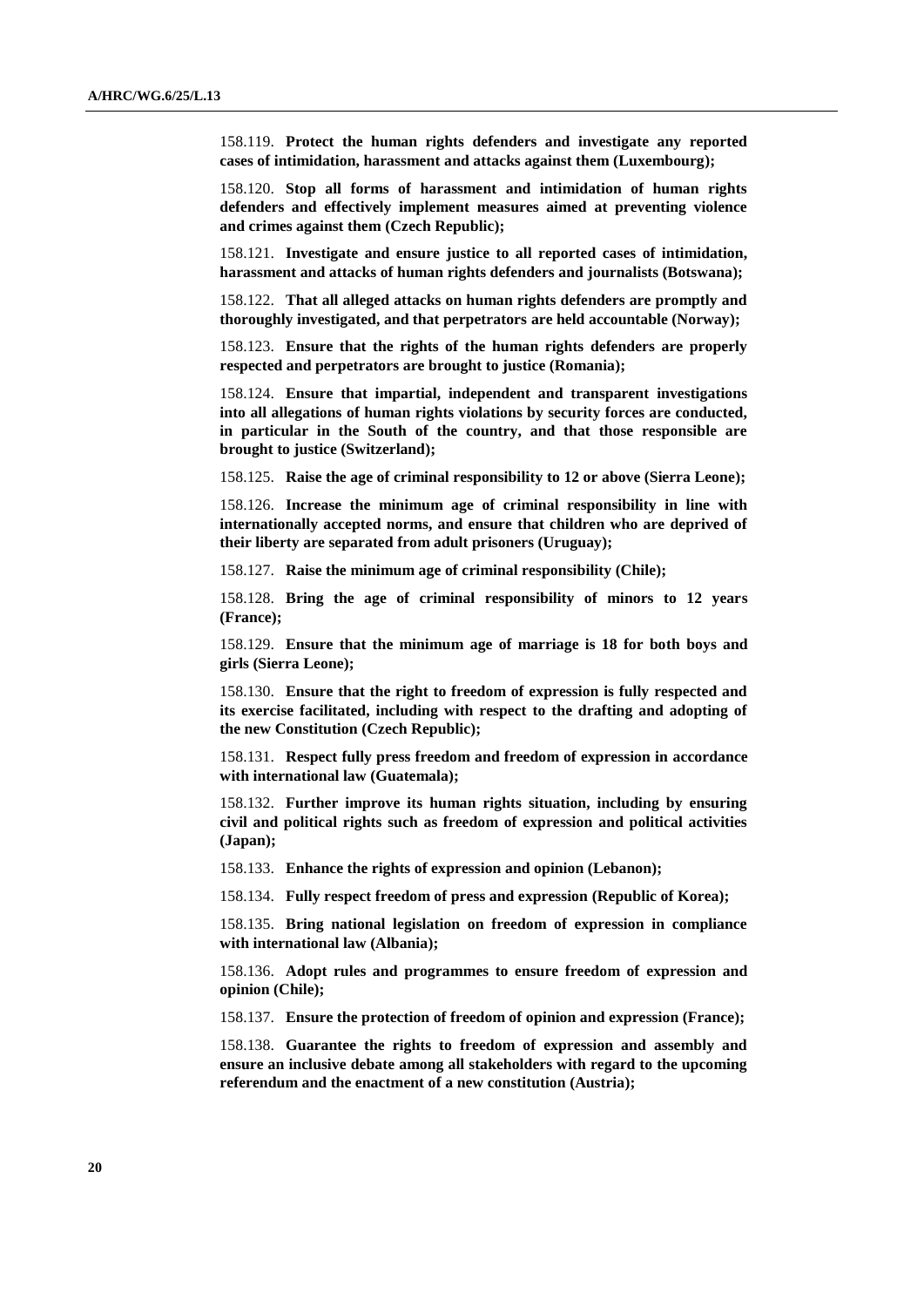158.119. **Protect the human rights defenders and investigate any reported cases of intimidation, harassment and attacks against them (Luxembourg);**

158.120. **Stop all forms of harassment and intimidation of human rights defenders and effectively implement measures aimed at preventing violence and crimes against them (Czech Republic);**

158.121. **Investigate and ensure justice to all reported cases of intimidation, harassment and attacks of human rights defenders and journalists (Botswana);**

158.122. **That all alleged attacks on human rights defenders are promptly and thoroughly investigated, and that perpetrators are held accountable (Norway);**

158.123. **Ensure that the rights of the human rights defenders are properly respected and perpetrators are brought to justice (Romania);**

158.124. **Ensure that impartial, independent and transparent investigations into all allegations of human rights violations by security forces are conducted, in particular in the South of the country, and that those responsible are brought to justice (Switzerland);**

158.125. **Raise the age of criminal responsibility to 12 or above (Sierra Leone);**

158.126. **Increase the minimum age of criminal responsibility in line with internationally accepted norms, and ensure that children who are deprived of their liberty are separated from adult prisoners (Uruguay);**

158.127. **Raise the minimum age of criminal responsibility (Chile);**

158.128. **Bring the age of criminal responsibility of minors to 12 years (France);**

158.129. **Ensure that the minimum age of marriage is 18 for both boys and girls (Sierra Leone);**

158.130. **Ensure that the right to freedom of expression is fully respected and its exercise facilitated, including with respect to the drafting and adopting of the new Constitution (Czech Republic);**

158.131. **Respect fully press freedom and freedom of expression in accordance with international law (Guatemala);**

158.132. **Further improve its human rights situation, including by ensuring civil and political rights such as freedom of expression and political activities (Japan);**

158.133. **Enhance the rights of expression and opinion (Lebanon);**

158.134. **Fully respect freedom of press and expression (Republic of Korea);**

158.135. **Bring national legislation on freedom of expression in compliance with international law (Albania);**

158.136. **Adopt rules and programmes to ensure freedom of expression and opinion (Chile);**

158.137. **Ensure the protection of freedom of opinion and expression (France);**

158.138. **Guarantee the rights to freedom of expression and assembly and ensure an inclusive debate among all stakeholders with regard to the upcoming referendum and the enactment of a new constitution (Austria);**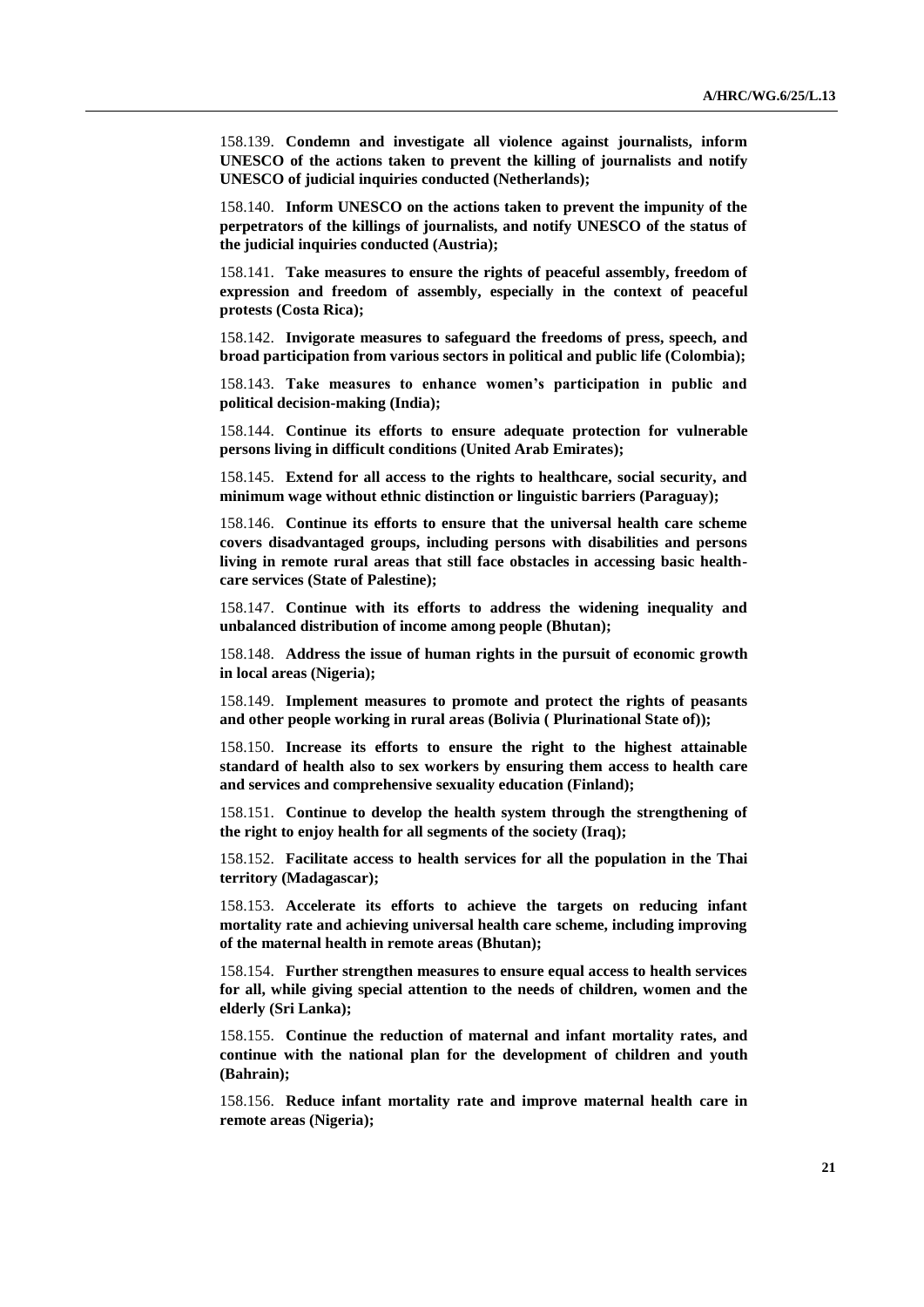158.139. **Condemn and investigate all violence against journalists, inform UNESCO of the actions taken to prevent the killing of journalists and notify UNESCO of judicial inquiries conducted (Netherlands);**

158.140. **Inform UNESCO on the actions taken to prevent the impunity of the perpetrators of the killings of journalists, and notify UNESCO of the status of the judicial inquiries conducted (Austria);**

158.141. **Take measures to ensure the rights of peaceful assembly, freedom of expression and freedom of assembly, especially in the context of peaceful protests (Costa Rica);**

158.142. **Invigorate measures to safeguard the freedoms of press, speech, and broad participation from various sectors in political and public life (Colombia);**

158.143. **Take measures to enhance women's participation in public and political decision-making (India);**

158.144. **Continue its efforts to ensure adequate protection for vulnerable persons living in difficult conditions (United Arab Emirates);**

158.145. **Extend for all access to the rights to healthcare, social security, and minimum wage without ethnic distinction or linguistic barriers (Paraguay);**

158.146. **Continue its efforts to ensure that the universal health care scheme covers disadvantaged groups, including persons with disabilities and persons living in remote rural areas that still face obstacles in accessing basic healthcare services (State of Palestine);**

158.147. **Continue with its efforts to address the widening inequality and unbalanced distribution of income among people (Bhutan);**

158.148. **Address the issue of human rights in the pursuit of economic growth in local areas (Nigeria);**

158.149. **Implement measures to promote and protect the rights of peasants and other people working in rural areas (Bolivia ( Plurinational State of));**

158.150. **Increase its efforts to ensure the right to the highest attainable standard of health also to sex workers by ensuring them access to health care and services and comprehensive sexuality education (Finland);**

158.151. **Continue to develop the health system through the strengthening of the right to enjoy health for all segments of the society (Iraq);**

158.152. **Facilitate access to health services for all the population in the Thai territory (Madagascar);**

158.153. **Accelerate its efforts to achieve the targets on reducing infant mortality rate and achieving universal health care scheme, including improving of the maternal health in remote areas (Bhutan);**

158.154. **Further strengthen measures to ensure equal access to health services for all, while giving special attention to the needs of children, women and the elderly (Sri Lanka);**

158.155. **Continue the reduction of maternal and infant mortality rates, and continue with the national plan for the development of children and youth (Bahrain);**

158.156. **Reduce infant mortality rate and improve maternal health care in remote areas (Nigeria);**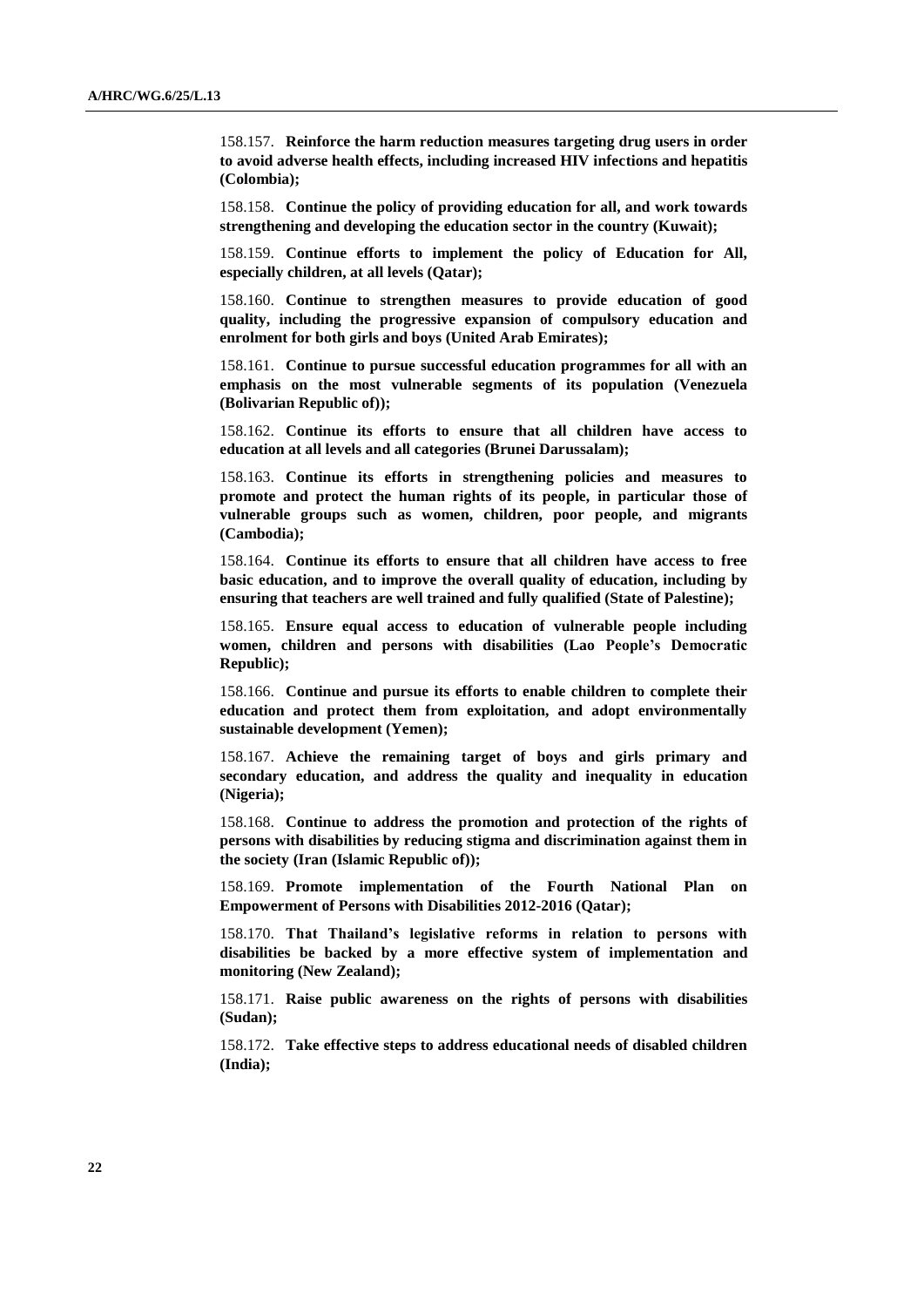158.157. **Reinforce the harm reduction measures targeting drug users in order to avoid adverse health effects, including increased HIV infections and hepatitis (Colombia);**

158.158. **Continue the policy of providing education for all, and work towards strengthening and developing the education sector in the country (Kuwait);**

158.159. **Continue efforts to implement the policy of Education for All, especially children, at all levels (Qatar);**

158.160. **Continue to strengthen measures to provide education of good quality, including the progressive expansion of compulsory education and enrolment for both girls and boys (United Arab Emirates);**

158.161. **Continue to pursue successful education programmes for all with an emphasis on the most vulnerable segments of its population (Venezuela (Bolivarian Republic of));**

158.162. **Continue its efforts to ensure that all children have access to education at all levels and all categories (Brunei Darussalam);**

158.163. **Continue its efforts in strengthening policies and measures to promote and protect the human rights of its people, in particular those of vulnerable groups such as women, children, poor people, and migrants (Cambodia);**

158.164. **Continue its efforts to ensure that all children have access to free basic education, and to improve the overall quality of education, including by ensuring that teachers are well trained and fully qualified (State of Palestine);**

158.165. **Ensure equal access to education of vulnerable people including women, children and persons with disabilities (Lao People's Democratic Republic);**

158.166. **Continue and pursue its efforts to enable children to complete their education and protect them from exploitation, and adopt environmentally sustainable development (Yemen);**

158.167. **Achieve the remaining target of boys and girls primary and secondary education, and address the quality and inequality in education (Nigeria);**

158.168. **Continue to address the promotion and protection of the rights of persons with disabilities by reducing stigma and discrimination against them in the society (Iran (Islamic Republic of));**

158.169. **Promote implementation of the Fourth National Plan on Empowerment of Persons with Disabilities 2012-2016 (Qatar);**

158.170. **That Thailand's legislative reforms in relation to persons with disabilities be backed by a more effective system of implementation and monitoring (New Zealand);**

158.171. **Raise public awareness on the rights of persons with disabilities (Sudan);**

158.172. **Take effective steps to address educational needs of disabled children (India);**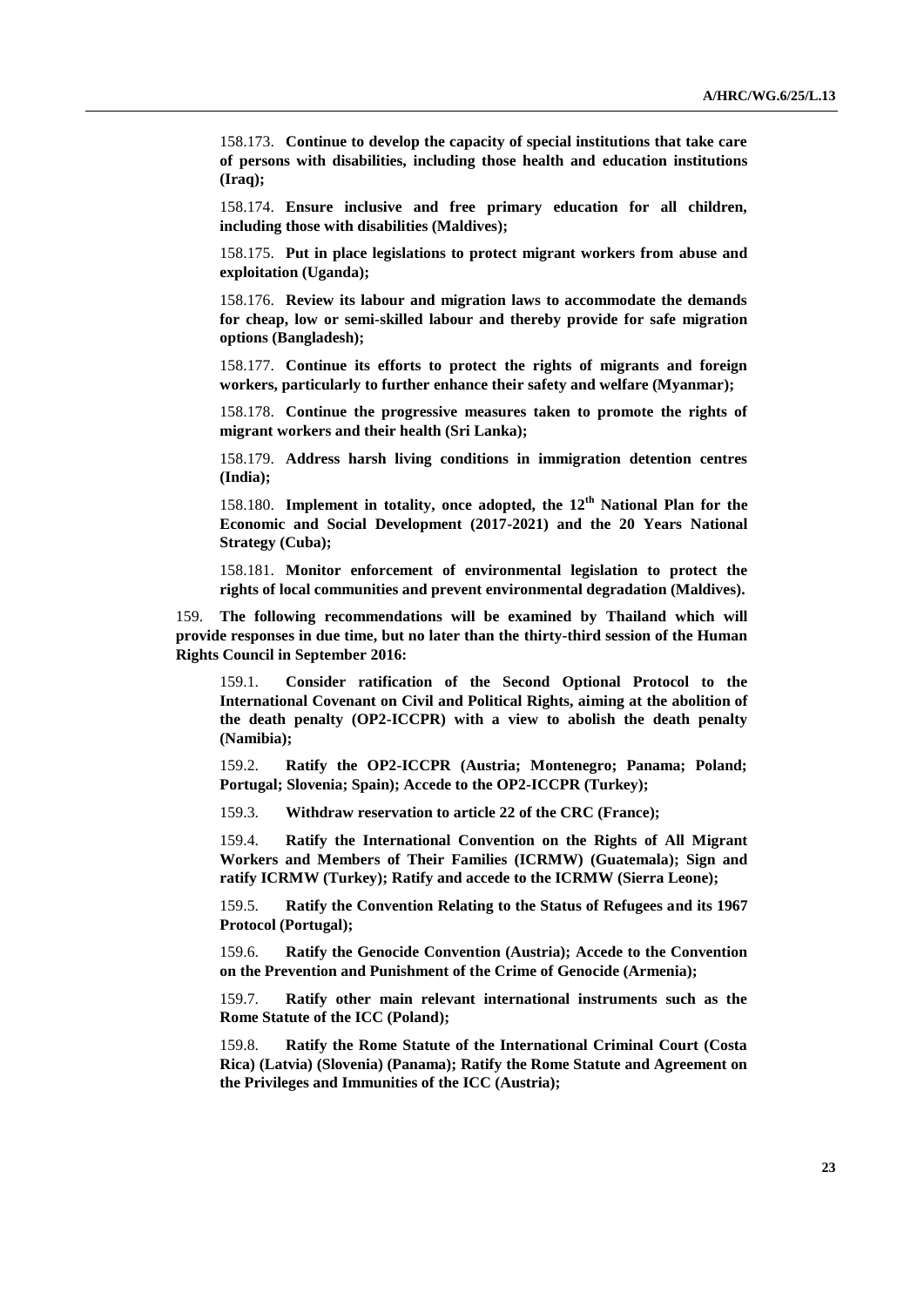158.173. **Continue to develop the capacity of special institutions that take care of persons with disabilities, including those health and education institutions (Iraq);**

158.174. **Ensure inclusive and free primary education for all children, including those with disabilities (Maldives);**

158.175. **Put in place legislations to protect migrant workers from abuse and exploitation (Uganda);**

158.176. **Review its labour and migration laws to accommodate the demands for cheap, low or semi-skilled labour and thereby provide for safe migration options (Bangladesh);**

158.177. **Continue its efforts to protect the rights of migrants and foreign workers, particularly to further enhance their safety and welfare (Myanmar);**

158.178. **Continue the progressive measures taken to promote the rights of migrant workers and their health (Sri Lanka);**

158.179. **Address harsh living conditions in immigration detention centres (India);**

158.180. **Implement in totality, once adopted, the 12th National Plan for the Economic and Social Development (2017-2021) and the 20 Years National Strategy (Cuba);**

158.181. **Monitor enforcement of environmental legislation to protect the rights of local communities and prevent environmental degradation (Maldives).**

159. **The following recommendations will be examined by Thailand which will provide responses in due time, but no later than the thirty-third session of the Human Rights Council in September 2016:**

159.1. **Consider ratification of the Second Optional Protocol to the International Covenant on Civil and Political Rights, aiming at the abolition of the death penalty (OP2-ICCPR) with a view to abolish the death penalty (Namibia);**

159.2. **Ratify the OP2-ICCPR (Austria; Montenegro; Panama; Poland; Portugal; Slovenia; Spain); Accede to the OP2-ICCPR (Turkey);**

159.3. **Withdraw reservation to article 22 of the CRC (France);**

159.4. **Ratify the International Convention on the Rights of All Migrant Workers and Members of Their Families (ICRMW) (Guatemala); Sign and ratify ICRMW (Turkey); Ratify and accede to the ICRMW (Sierra Leone);** 

159.5. **Ratify the Convention Relating to the Status of Refugees and its 1967 Protocol (Portugal);**

159.6. **Ratify the Genocide Convention (Austria); Accede to the Convention on the Prevention and Punishment of the Crime of Genocide (Armenia);**

159.7. **Ratify other main relevant international instruments such as the Rome Statute of the ICC (Poland);**

159.8. **Ratify the Rome Statute of the International Criminal Court (Costa Rica) (Latvia) (Slovenia) (Panama); Ratify the Rome Statute and Agreement on the Privileges and Immunities of the ICC (Austria);**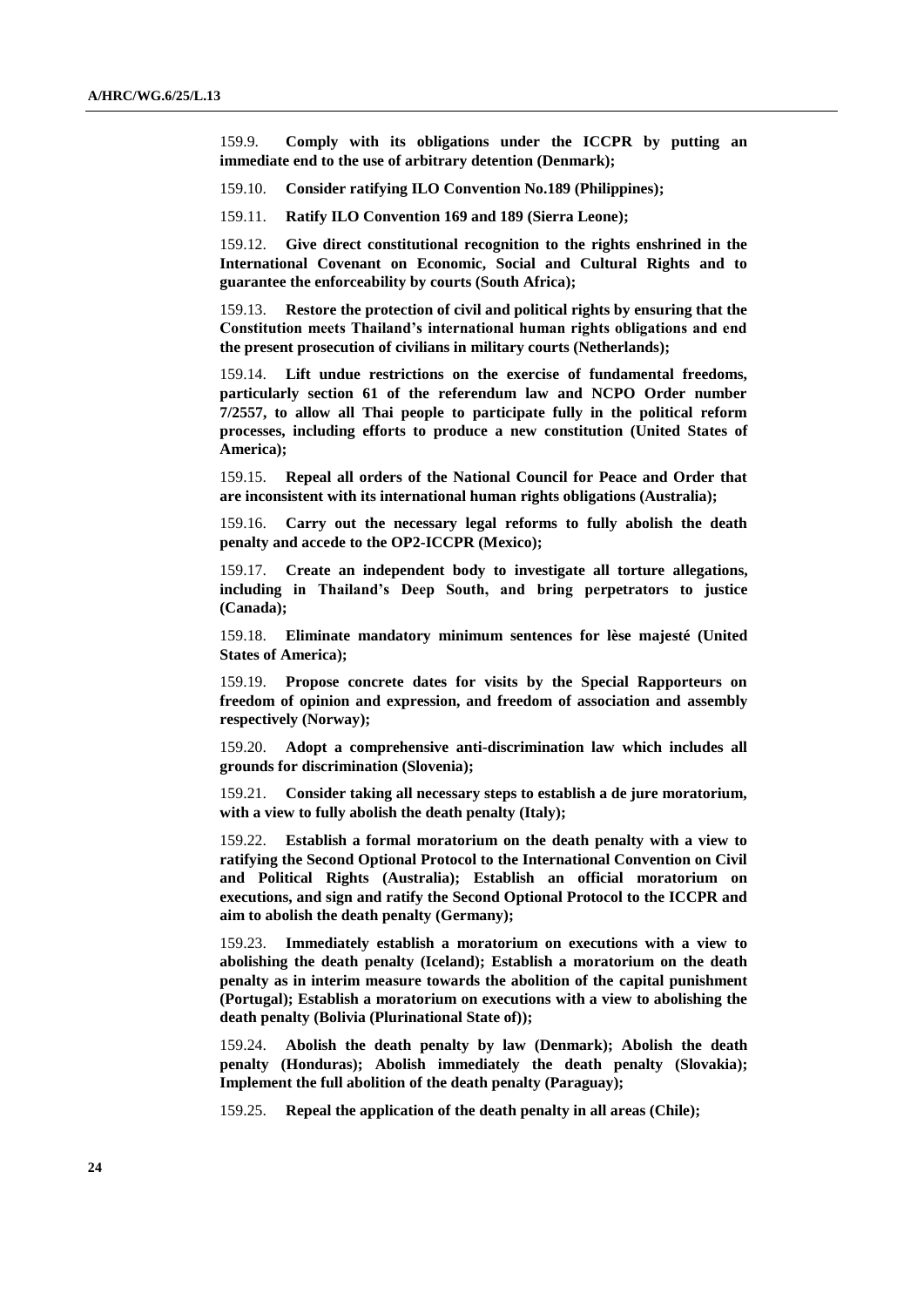159.9. **Comply with its obligations under the ICCPR by putting an immediate end to the use of arbitrary detention (Denmark);**

159.10. **Consider ratifying ILO Convention No.189 (Philippines);**

159.11. **Ratify ILO Convention 169 and 189 (Sierra Leone);**

159.12. **Give direct constitutional recognition to the rights enshrined in the International Covenant on Economic, Social and Cultural Rights and to guarantee the enforceability by courts (South Africa);** 

159.13. **Restore the protection of civil and political rights by ensuring that the Constitution meets Thailand's international human rights obligations and end the present prosecution of civilians in military courts (Netherlands);**

159.14. **Lift undue restrictions on the exercise of fundamental freedoms, particularly section 61 of the referendum law and NCPO Order number 7/2557, to allow all Thai people to participate fully in the political reform processes, including efforts to produce a new constitution (United States of America);** 

159.15. **Repeal all orders of the National Council for Peace and Order that are inconsistent with its international human rights obligations (Australia);**

159.16. **Carry out the necessary legal reforms to fully abolish the death penalty and accede to the OP2-ICCPR (Mexico);**

159.17. **Create an independent body to investigate all torture allegations, including in Thailand's Deep South, and bring perpetrators to justice (Canada);**

159.18. **Eliminate mandatory minimum sentences for lèse majesté (United States of America);**

159.19. **Propose concrete dates for visits by the Special Rapporteurs on freedom of opinion and expression, and freedom of association and assembly respectively (Norway);**

159.20. **Adopt a comprehensive anti-discrimination law which includes all grounds for discrimination (Slovenia);**

159.21. **Consider taking all necessary steps to establish a de jure moratorium, with a view to fully abolish the death penalty (Italy);** 

159.22. **Establish a formal moratorium on the death penalty with a view to ratifying the Second Optional Protocol to the International Convention on Civil and Political Rights (Australia); Establish an official moratorium on executions, and sign and ratify the Second Optional Protocol to the ICCPR and aim to abolish the death penalty (Germany);**

159.23. **Immediately establish a moratorium on executions with a view to abolishing the death penalty (Iceland); Establish a moratorium on the death penalty as in interim measure towards the abolition of the capital punishment (Portugal); Establish a moratorium on executions with a view to abolishing the death penalty (Bolivia (Plurinational State of));**

159.24. **Abolish the death penalty by law (Denmark); Abolish the death penalty (Honduras); Abolish immediately the death penalty (Slovakia); Implement the full abolition of the death penalty (Paraguay);** 

159.25. **Repeal the application of the death penalty in all areas (Chile);**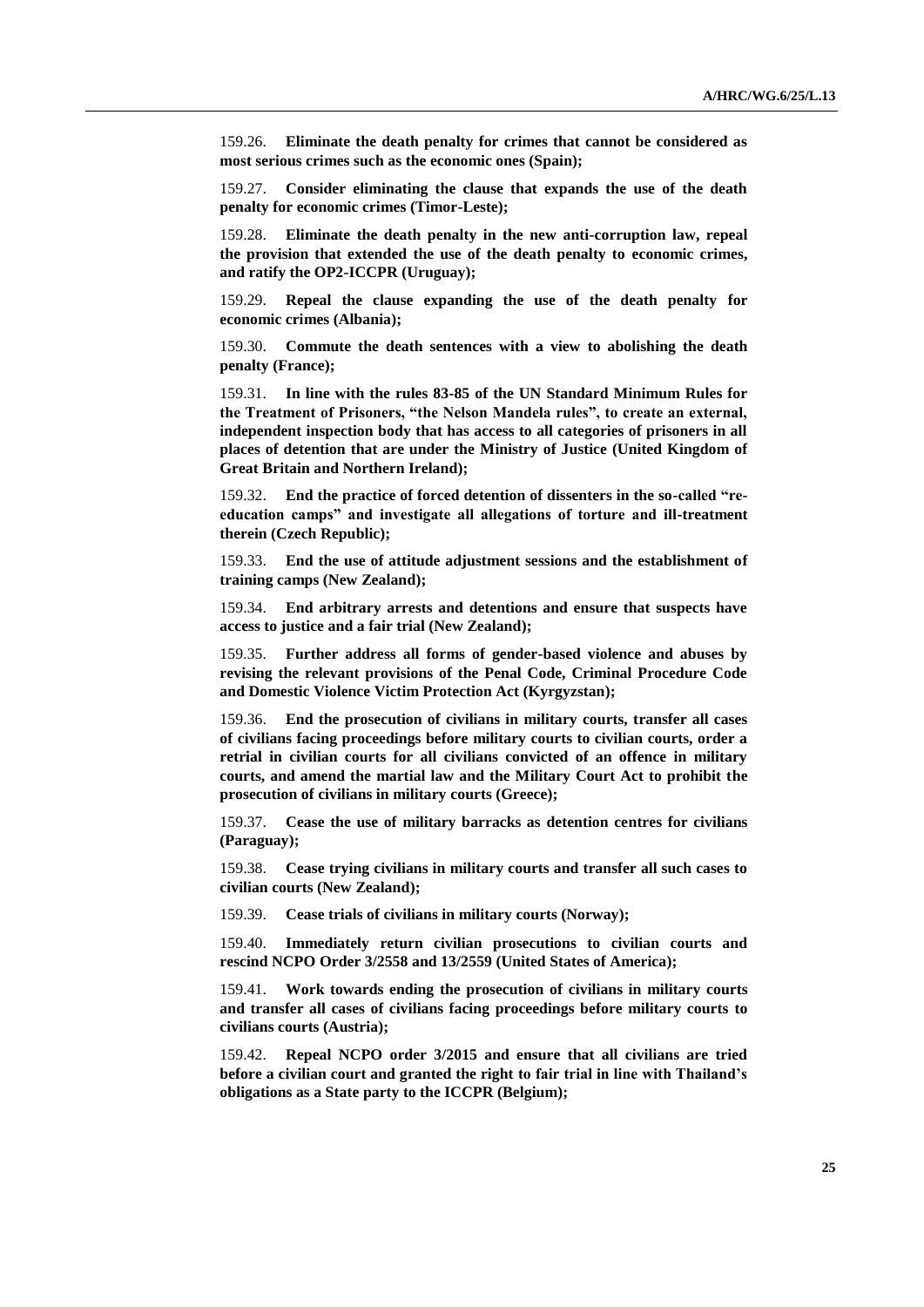159.26. **Eliminate the death penalty for crimes that cannot be considered as most serious crimes such as the economic ones (Spain);**

159.27. **Consider eliminating the clause that expands the use of the death penalty for economic crimes (Timor-Leste);**

159.28. **Eliminate the death penalty in the new anti-corruption law, repeal the provision that extended the use of the death penalty to economic crimes, and ratify the OP2-ICCPR (Uruguay);**

159.29. **Repeal the clause expanding the use of the death penalty for economic crimes (Albania);**

159.30. **Commute the death sentences with a view to abolishing the death penalty (France);**

159.31. **In line with the rules 83-85 of the UN Standard Minimum Rules for the Treatment of Prisoners, "the Nelson Mandela rules", to create an external, independent inspection body that has access to all categories of prisoners in all places of detention that are under the Ministry of Justice (United Kingdom of Great Britain and Northern Ireland);**

159.32. **End the practice of forced detention of dissenters in the so-called "reeducation camps" and investigate all allegations of torture and ill-treatment therein (Czech Republic);**

159.33. **End the use of attitude adjustment sessions and the establishment of training camps (New Zealand);**

159.34. **End arbitrary arrests and detentions and ensure that suspects have access to justice and a fair trial (New Zealand);**

159.35. **Further address all forms of gender-based violence and abuses by revising the relevant provisions of the Penal Code, Criminal Procedure Code and Domestic Violence Victim Protection Act (Kyrgyzstan);**

159.36. **End the prosecution of civilians in military courts, transfer all cases of civilians facing proceedings before military courts to civilian courts, order a retrial in civilian courts for all civilians convicted of an offence in military courts, and amend the martial law and the Military Court Act to prohibit the prosecution of civilians in military courts (Greece);**

159.37. **Cease the use of military barracks as detention centres for civilians (Paraguay);**

159.38. **Cease trying civilians in military courts and transfer all such cases to civilian courts (New Zealand);**

159.39. **Cease trials of civilians in military courts (Norway);** 

159.40. **Immediately return civilian prosecutions to civilian courts and rescind NCPO Order 3/2558 and 13/2559 (United States of America);**

159.41. **Work towards ending the prosecution of civilians in military courts and transfer all cases of civilians facing proceedings before military courts to civilians courts (Austria);**

159.42. **Repeal NCPO order 3/2015 and ensure that all civilians are tried before a civilian court and granted the right to fair trial in line with Thailand's obligations as a State party to the ICCPR (Belgium);**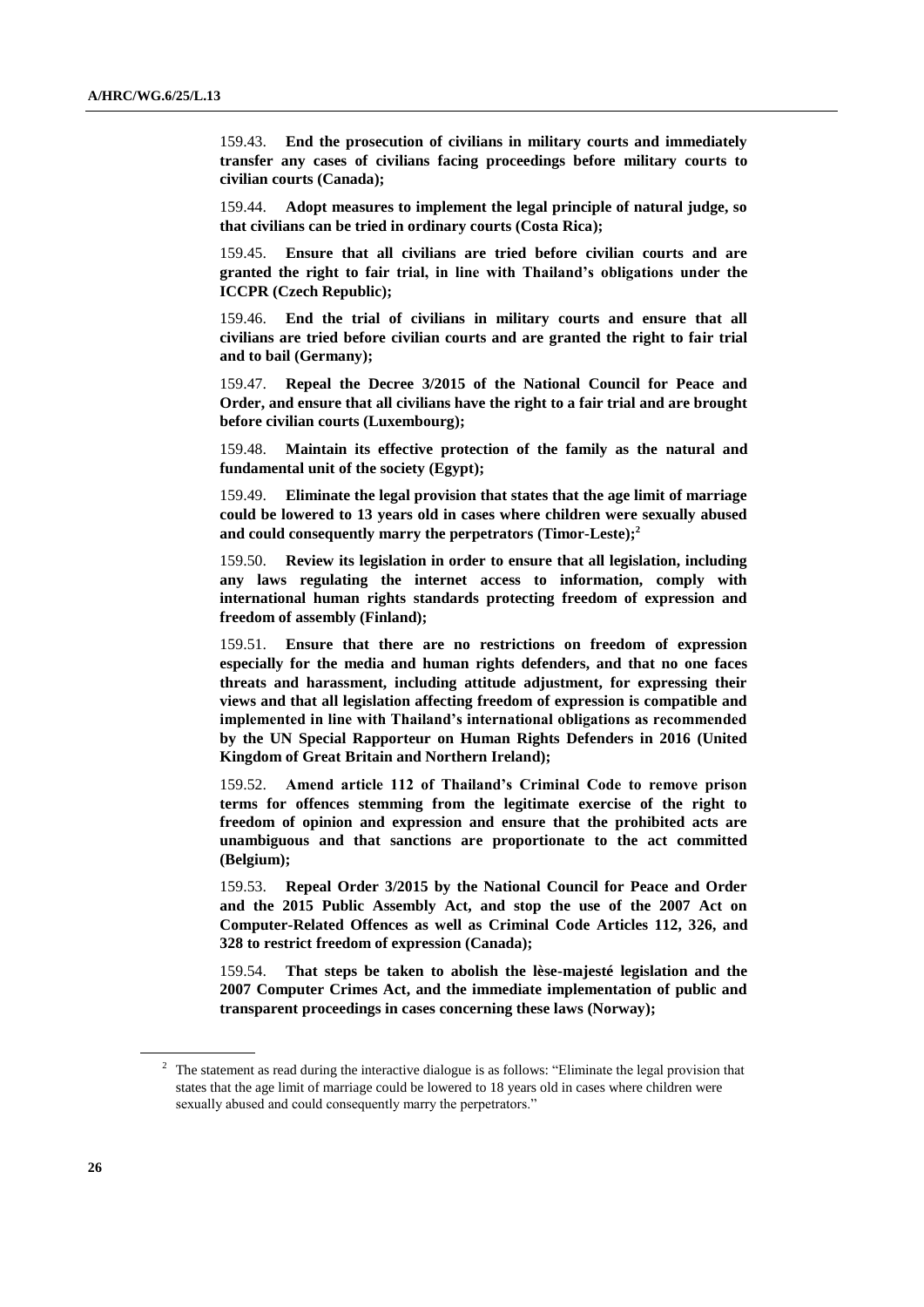159.43. **End the prosecution of civilians in military courts and immediately transfer any cases of civilians facing proceedings before military courts to civilian courts (Canada);**

159.44. **Adopt measures to implement the legal principle of natural judge, so that civilians can be tried in ordinary courts (Costa Rica);**

159.45. **Ensure that all civilians are tried before civilian courts and are granted the right to fair trial, in line with Thailand's obligations under the ICCPR (Czech Republic);**

159.46. **End the trial of civilians in military courts and ensure that all civilians are tried before civilian courts and are granted the right to fair trial and to bail (Germany);**

159.47. **Repeal the Decree 3/2015 of the National Council for Peace and Order, and ensure that all civilians have the right to a fair trial and are brought before civilian courts (Luxembourg);**

159.48. **Maintain its effective protection of the family as the natural and fundamental unit of the society (Egypt);**

159.49. **Eliminate the legal provision that states that the age limit of marriage could be lowered to 13 years old in cases where children were sexually abused and could consequently marry the perpetrators (Timor-Leste);<sup>2</sup>**

159.50. **Review its legislation in order to ensure that all legislation, including any laws regulating the internet access to information, comply with international human rights standards protecting freedom of expression and freedom of assembly (Finland);**

159.51. **Ensure that there are no restrictions on freedom of expression especially for the media and human rights defenders, and that no one faces threats and harassment, including attitude adjustment, for expressing their views and that all legislation affecting freedom of expression is compatible and implemented in line with Thailand's international obligations as recommended by the UN Special Rapporteur on Human Rights Defenders in 2016 (United Kingdom of Great Britain and Northern Ireland);** 

159.52. **Amend article 112 of Thailand's Criminal Code to remove prison terms for offences stemming from the legitimate exercise of the right to freedom of opinion and expression and ensure that the prohibited acts are unambiguous and that sanctions are proportionate to the act committed (Belgium);**

159.53. **Repeal Order 3/2015 by the National Council for Peace and Order and the 2015 Public Assembly Act, and stop the use of the 2007 Act on Computer-Related Offences as well as Criminal Code Articles 112, 326, and 328 to restrict freedom of expression (Canada);**

159.54. **That steps be taken to abolish the lèse-majesté legislation and the 2007 Computer Crimes Act, and the immediate implementation of public and transparent proceedings in cases concerning these laws (Norway);**

<sup>&</sup>lt;sup>2</sup> The statement as read during the interactive dialogue is as follows: "Eliminate the legal provision that states that the age limit of marriage could be lowered to 18 years old in cases where children were sexually abused and could consequently marry the perpetrators."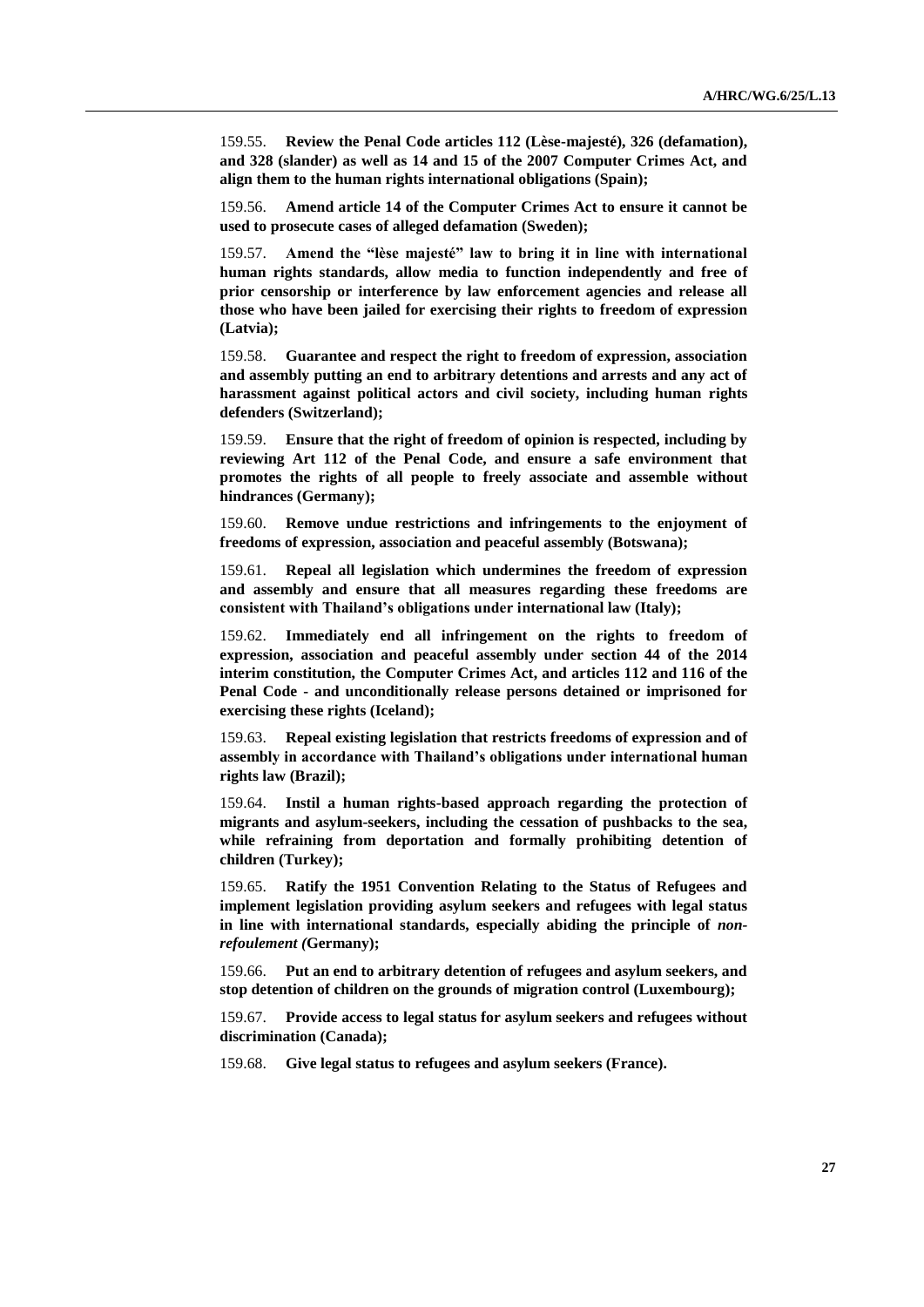159.55. **Review the Penal Code articles 112 (Lèse-majesté), 326 (defamation), and 328 (slander) as well as 14 and 15 of the 2007 Computer Crimes Act, and align them to the human rights international obligations (Spain);**

159.56. **Amend article 14 of the Computer Crimes Act to ensure it cannot be used to prosecute cases of alleged defamation (Sweden);**

159.57. **Amend the "lèse majesté" law to bring it in line with international human rights standards, allow media to function independently and free of prior censorship or interference by law enforcement agencies and release all those who have been jailed for exercising their rights to freedom of expression (Latvia);**

159.58. **Guarantee and respect the right to freedom of expression, association and assembly putting an end to arbitrary detentions and arrests and any act of harassment against political actors and civil society, including human rights defenders (Switzerland);**

159.59. **Ensure that the right of freedom of opinion is respected, including by reviewing Art 112 of the Penal Code, and ensure a safe environment that promotes the rights of all people to freely associate and assemble without hindrances (Germany);**

159.60. **Remove undue restrictions and infringements to the enjoyment of freedoms of expression, association and peaceful assembly (Botswana);**

159.61. **Repeal all legislation which undermines the freedom of expression and assembly and ensure that all measures regarding these freedoms are consistent with Thailand's obligations under international law (Italy);**

159.62. **Immediately end all infringement on the rights to freedom of expression, association and peaceful assembly under section 44 of the 2014 interim constitution, the Computer Crimes Act, and articles 112 and 116 of the Penal Code - and unconditionally release persons detained or imprisoned for exercising these rights (Iceland);**

159.63. **Repeal existing legislation that restricts freedoms of expression and of assembly in accordance with Thailand's obligations under international human rights law (Brazil);** 

159.64. **Instil a human rights-based approach regarding the protection of migrants and asylum-seekers, including the cessation of pushbacks to the sea, while refraining from deportation and formally prohibiting detention of children (Turkey);**

159.65. **Ratify the 1951 Convention Relating to the Status of Refugees and implement legislation providing asylum seekers and refugees with legal status in line with international standards, especially abiding the principle of** *nonrefoulement (***Germany);**

159.66. **Put an end to arbitrary detention of refugees and asylum seekers, and stop detention of children on the grounds of migration control (Luxembourg);**

159.67. **Provide access to legal status for asylum seekers and refugees without discrimination (Canada);**

159.68. **Give legal status to refugees and asylum seekers (France).**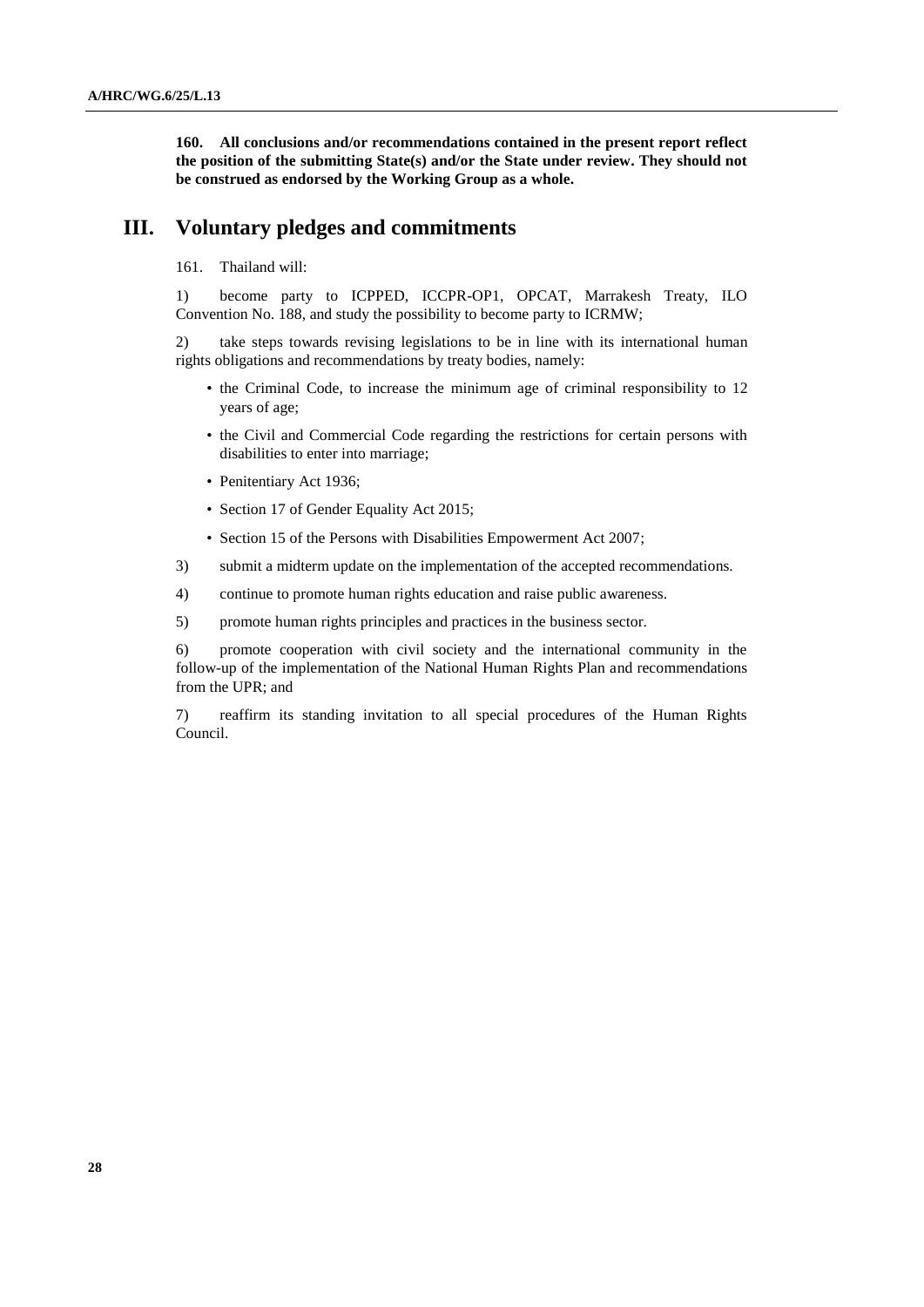**160. All conclusions and/or recommendations contained in the present report reflect the position of the submitting State(s) and/or the State under review. They should not be construed as endorsed by the Working Group as a whole.**

### **III. Voluntary pledges and commitments**

#### 161. Thailand will:

1) become party to ICPPED, ICCPR-OP1, OPCAT, Marrakesh Treaty, ILO Convention No. 188, and study the possibility to become party to ICRMW;

2) take steps towards revising legislations to be in line with its international human rights obligations and recommendations by treaty bodies, namely:

- the Criminal Code, to increase the minimum age of criminal responsibility to 12 years of age;
- the Civil and Commercial Code regarding the restrictions for certain persons with disabilities to enter into marriage;
- Penitentiary Act 1936;
- Section 17 of Gender Equality Act 2015;
- Section 15 of the Persons with Disabilities Empowerment Act 2007;
- 3) submit a midterm update on the implementation of the accepted recommendations.
- 4) continue to promote human rights education and raise public awareness.
- 5) promote human rights principles and practices in the business sector.

6) promote cooperation with civil society and the international community in the follow-up of the implementation of the National Human Rights Plan and recommendations from the UPR; and

7) reaffirm its standing invitation to all special procedures of the Human Rights Council.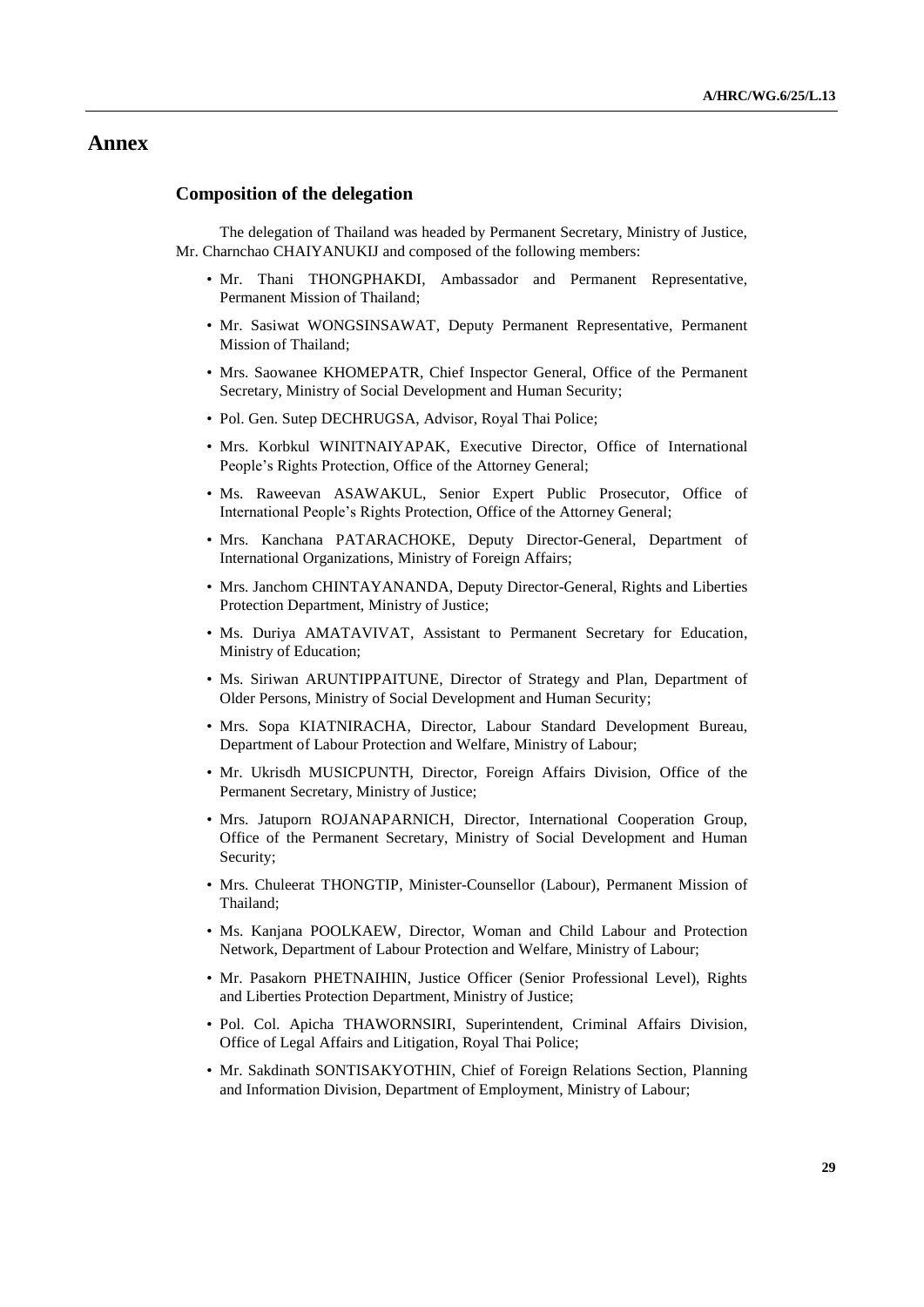## **Annex**

#### **Composition of the delegation**

The delegation of Thailand was headed by Permanent Secretary, Ministry of Justice, Mr. Charnchao CHAIYANUKIJ and composed of the following members:

- Mr. Thani THONGPHAKDI, Ambassador and Permanent Representative, Permanent Mission of Thailand;
- Mr. Sasiwat WONGSINSAWAT, Deputy Permanent Representative, Permanent Mission of Thailand;
- Mrs. Saowanee KHOMEPATR, Chief Inspector General, Office of the Permanent Secretary, Ministry of Social Development and Human Security;
- Pol. Gen. Sutep DECHRUGSA, Advisor, Royal Thai Police;
- Mrs. Korbkul WINITNAIYAPAK, Executive Director, Office of International People's Rights Protection, Office of the Attorney General;
- Ms. Raweevan ASAWAKUL, Senior Expert Public Prosecutor, Office of International People's Rights Protection, Office of the Attorney General;
- Mrs. Kanchana PATARACHOKE, Deputy Director-General, Department of International Organizations, Ministry of Foreign Affairs;
- Mrs. Janchom CHINTAYANANDA, Deputy Director-General, Rights and Liberties Protection Department, Ministry of Justice;
- Ms. Duriya AMATAVIVAT, Assistant to Permanent Secretary for Education, Ministry of Education;
- Ms. Siriwan ARUNTIPPAITUNE, Director of Strategy and Plan, Department of Older Persons, Ministry of Social Development and Human Security;
- Mrs. Sopa KIATNIRACHA, Director, Labour Standard Development Bureau, Department of Labour Protection and Welfare, Ministry of Labour;
- Mr. Ukrisdh MUSICPUNTH, Director, Foreign Affairs Division, Office of the Permanent Secretary, Ministry of Justice;
- Mrs. Jatuporn ROJANAPARNICH, Director, International Cooperation Group, Office of the Permanent Secretary, Ministry of Social Development and Human Security;
- Mrs. Chuleerat THONGTIP, Minister-Counsellor (Labour), Permanent Mission of Thailand;
- Ms. Kanjana POOLKAEW, Director, Woman and Child Labour and Protection Network, Department of Labour Protection and Welfare, Ministry of Labour;
- Mr. Pasakorn PHETNAIHIN, Justice Officer (Senior Professional Level), Rights and Liberties Protection Department, Ministry of Justice;
- Pol. Col. Apicha THAWORNSIRI, Superintendent, Criminal Affairs Division, Office of Legal Affairs and Litigation, Royal Thai Police;
- Mr. Sakdinath SONTISAKYOTHIN, Chief of Foreign Relations Section, Planning and Information Division, Department of Employment, Ministry of Labour;